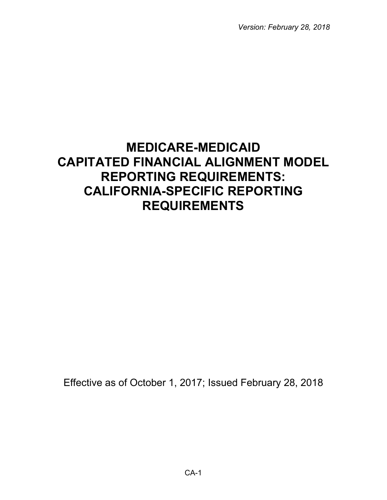*Version: February 28, 2018*

# **MEDICARE-MEDICAID CAPITATED FINANCIAL ALIGNMENT MODEL REPORTING REQUIREMENTS: CALIFORNIA-SPECIFIC REPORTING REQUIREMENTS**

Effective as of October 1, 2017; Issued February 28, 2018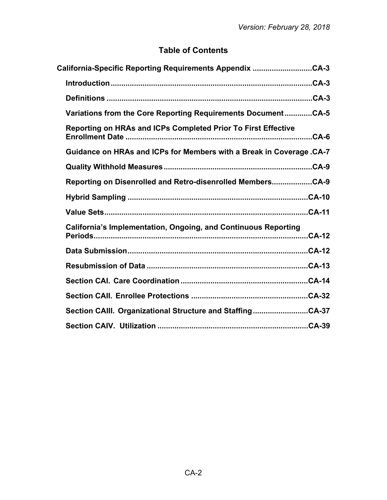## **Table of Contents**

| California-Specific Reporting Requirements Appendix CA-3              |
|-----------------------------------------------------------------------|
|                                                                       |
|                                                                       |
| Variations from the Core Reporting Requirements DocumentCA-5          |
| Reporting on HRAs and ICPs Completed Prior To First Effective         |
| Guidance on HRAs and ICPs for Members with a Break in Coverage .CA-7  |
|                                                                       |
| Reporting on Disenrolled and Retro-disenrolled MembersCA-9            |
|                                                                       |
|                                                                       |
| <b>California's Implementation, Ongoing, and Continuous Reporting</b> |
|                                                                       |
|                                                                       |
|                                                                       |
|                                                                       |
| Section CAIII. Organizational Structure and StaffingCA-37             |
|                                                                       |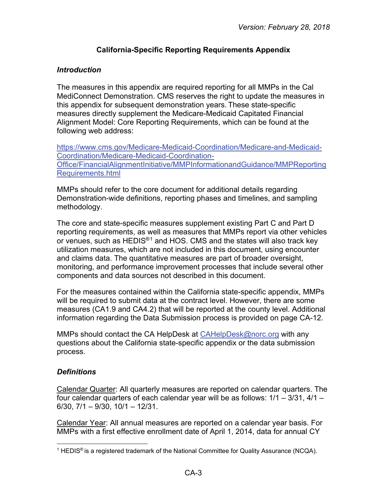## **California-Specific Reporting Requirements Appendix**

#### <span id="page-2-1"></span><span id="page-2-0"></span>*Introduction*

The measures in this appendix are required reporting for all MMPs in the Cal MediConnect Demonstration. CMS reserves the right to update the measures in this appendix for subsequent demonstration years. These state-specific measures directly supplement the Medicare-Medicaid Capitated Financial Alignment Model: Core Reporting Requirements, which can be found at the following web address:

[https://www.cms.gov/Medicare-Medicaid-Coordination/Medicare-and-Medicaid-](https://www.cms.gov/Medicare-Medicaid-Coordination/Medicare-and-Medicaid-Coordination/Medicare-Medicaid-Coordination-Office/FinancialAlignmentInitiative/MMPInformationandGuidance/MMPReportingRequirements.html)[Coordination/Medicare-Medicaid-Coordination-](https://www.cms.gov/Medicare-Medicaid-Coordination/Medicare-and-Medicaid-Coordination/Medicare-Medicaid-Coordination-Office/FinancialAlignmentInitiative/MMPInformationandGuidance/MMPReportingRequirements.html)[Office/FinancialAlignmentInitiative/MMPInformationandGuidance/MMPReporting](https://www.cms.gov/Medicare-Medicaid-Coordination/Medicare-and-Medicaid-Coordination/Medicare-Medicaid-Coordination-Office/FinancialAlignmentInitiative/MMPInformationandGuidance/MMPReportingRequirements.html) [Requirements.html](https://www.cms.gov/Medicare-Medicaid-Coordination/Medicare-and-Medicaid-Coordination/Medicare-Medicaid-Coordination-Office/FinancialAlignmentInitiative/MMPInformationandGuidance/MMPReportingRequirements.html)

MMPs should refer to the core document for additional details regarding Demonstration-wide definitions, reporting phases and timelines, and sampling methodology.

The core and state-specific measures supplement existing Part C and Part D reporting requirements, as well as measures that MMPs report via other vehicles or venues, such as  $HEDIS<sup>®1</sup>$  $HEDIS<sup>®1</sup>$  $HEDIS<sup>®1</sup>$  and HOS. CMS and the states will also track key utilization measures, which are not included in this document, using encounter and claims data. The quantitative measures are part of broader oversight, monitoring, and performance improvement processes that include several other components and data sources not described in this document.

For the measures contained within the California state-specific appendix, MMPs will be required to submit data at the contract level. However, there are some measures (CA1.9 and CA4.2) that will be reported at the county level. Additional information regarding the Data Submission process is provided on page CA-12.

MMPs should contact the CA HelpDesk at [CAHelpDesk@norc.org](mailto:CAHelpDesk@norc.org) with any questions about the California state-specific appendix or the data submission process.

#### <span id="page-2-2"></span>*Definitions*

Calendar Quarter: All quarterly measures are reported on calendar quarters. The four calendar quarters of each calendar year will be as follows: 1/1 – 3/31, 4/1 – 6/30, 7/1 – 9/30, 10/1 – 12/31.

Calendar Year: All annual measures are reported on a calendar year basis. For MMPs with a first effective enrollment date of April 1, 2014, data for annual CY

<span id="page-2-3"></span> $\overline{a}$ <sup>1</sup> HEDIS<sup>®</sup> is a registered trademark of the National Committee for Quality Assurance (NCQA).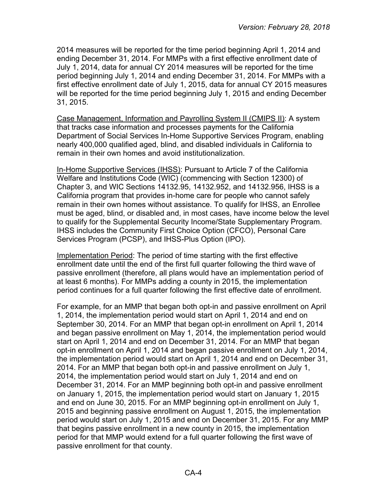2014 measures will be reported for the time period beginning April 1, 2014 and ending December 31, 2014. For MMPs with a first effective enrollment date of July 1, 2014, data for annual CY 2014 measures will be reported for the time period beginning July 1, 2014 and ending December 31, 2014. For MMPs with a first effective enrollment date of July 1, 2015, data for annual CY 2015 measures will be reported for the time period beginning July 1, 2015 and ending December 31, 2015.

Case Management, Information and Payrolling System II (CMIPS II): A system that tracks case information and processes payments for the California Department of Social Services In-Home Supportive Services Program, enabling nearly 400,000 qualified aged, blind, and disabled individuals in California to remain in their own homes and avoid institutionalization.

In-Home Supportive Services (IHSS): Pursuant to Article 7 of the California Welfare and Institutions Code (WIC) (commencing with Section 12300) of Chapter 3, and WIC Sections 14132.95, 14132.952, and 14132.956, IHSS is a California program that provides in-home care for people who cannot safely remain in their own homes without assistance. To qualify for IHSS, an Enrollee must be aged, blind, or disabled and, in most cases, have income below the level to qualify for the Supplemental Security Income/State Supplementary Program. IHSS includes the Community First Choice Option (CFCO), Personal Care Services Program (PCSP), and IHSS-Plus Option (IPO).

Implementation Period: The period of time starting with the first effective enrollment date until the end of the first full quarter following the third wave of passive enrollment (therefore, all plans would have an implementation period of at least 6 months). For MMPs adding a county in 2015, the implementation period continues for a full quarter following the first effective date of enrollment.

For example, for an MMP that began both opt-in and passive enrollment on April 1, 2014, the implementation period would start on April 1, 2014 and end on September 30, 2014. For an MMP that began opt-in enrollment on April 1, 2014 and began passive enrollment on May 1, 2014, the implementation period would start on April 1, 2014 and end on December 31, 2014. For an MMP that began opt-in enrollment on April 1, 2014 and began passive enrollment on July 1, 2014, the implementation period would start on April 1, 2014 and end on December 31, 2014. For an MMP that began both opt-in and passive enrollment on July 1, 2014, the implementation period would start on July 1, 2014 and end on December 31, 2014. For an MMP beginning both opt-in and passive enrollment on January 1, 2015, the implementation period would start on January 1, 2015 and end on June 30, 2015. For an MMP beginning opt-in enrollment on July 1, 2015 and beginning passive enrollment on August 1, 2015, the implementation period would start on July 1, 2015 and end on December 31, 2015. For any MMP that begins passive enrollment in a new county in 2015, the implementation period for that MMP would extend for a full quarter following the first wave of passive enrollment for that county.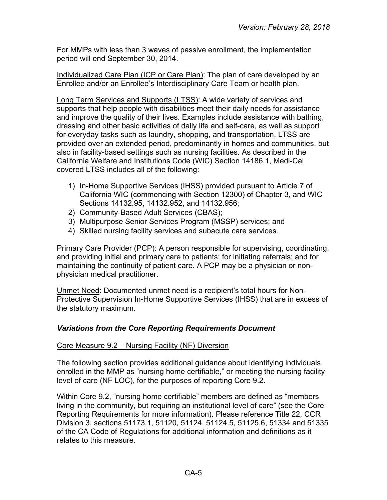For MMPs with less than 3 waves of passive enrollment, the implementation period will end September 30, 2014.

Individualized Care Plan (ICP or Care Plan): The plan of care developed by an Enrollee and/or an Enrollee's Interdisciplinary Care Team or health plan.

Long Term Services and Supports (LTSS): A wide variety of services and supports that help people with disabilities meet their daily needs for assistance and improve the quality of their lives. Examples include assistance with bathing, dressing and other basic activities of daily life and self-care, as well as support for everyday tasks such as laundry, shopping, and transportation. LTSS are provided over an extended period, predominantly in homes and communities, but also in facility-based settings such as nursing facilities. As described in the California Welfare and Institutions Code (WIC) Section 14186.1, Medi-Cal covered LTSS includes all of the following:

- 1) In-Home Supportive Services (IHSS) provided pursuant to Article 7 of California WIC (commencing with Section 12300) of Chapter 3, and WIC Sections 14132.95, 14132.952, and 14132.956;
- 2) Community-Based Adult Services (CBAS);
- 3) Multipurpose Senior Services Program (MSSP) services; and
- 4) Skilled nursing facility services and subacute care services.

Primary Care Provider (PCP): A person responsible for supervising, coordinating, and providing initial and primary care to patients; for initiating referrals; and for maintaining the continuity of patient care. A PCP may be a physician or nonphysician medical practitioner.

Unmet Need: Documented unmet need is a recipient's total hours for Non-Protective Supervision In-Home Supportive Services (IHSS) that are in excess of the statutory maximum.

## <span id="page-4-0"></span>*Variations from the Core Reporting Requirements Document*

## Core Measure 9.2 – Nursing Facility (NF) Diversion

The following section provides additional guidance about identifying individuals enrolled in the MMP as "nursing home certifiable," or meeting the nursing facility level of care (NF LOC), for the purposes of reporting Core 9.2.

Within Core 9.2, "nursing home certifiable" members are defined as "members living in the community, but requiring an institutional level of care" (see the Core Reporting Requirements for more information). Please reference Title 22, CCR Division 3, sections 51173.1, 51120, 51124, 51124.5, 51125.6, 51334 and 51335 of the CA Code of Regulations for additional information and definitions as it relates to this measure.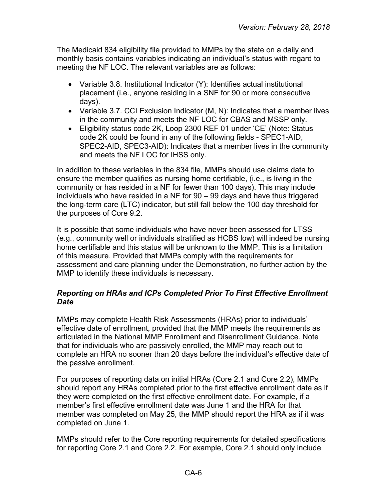The Medicaid 834 eligibility file provided to MMPs by the state on a daily and monthly basis contains variables indicating an individual's status with regard to meeting the NF LOC. The relevant variables are as follows:

- Variable 3.8. Institutional Indicator (Y): Identifies actual institutional placement (i.e., anyone residing in a SNF for 90 or more consecutive days).
- Variable 3.7. CCI Exclusion Indicator (M, N): Indicates that a member lives in the community and meets the NF LOC for CBAS and MSSP only.
- Eligibility status code 2K, Loop 2300 REF 01 under 'CE' (Note: Status code 2K could be found in any of the following fields - SPEC1-AID, SPEC2-AID, SPEC3-AID): Indicates that a member lives in the community and meets the NF LOC for IHSS only.

In addition to these variables in the 834 file, MMPs should use claims data to ensure the member qualifies as nursing home certifiable, (i.e., is living in the community or has resided in a NF for fewer than 100 days). This may include individuals who have resided in a NF for 90 – 99 days and have thus triggered the long-term care (LTC) indicator, but still fall below the 100 day threshold for the purposes of Core 9.2.

It is possible that some individuals who have never been assessed for LTSS (e.g., community well or individuals stratified as HCBS low) will indeed be nursing home certifiable and this status will be unknown to the MMP. This is a limitation of this measure. Provided that MMPs comply with the requirements for assessment and care planning under the Demonstration, no further action by the MMP to identify these individuals is necessary.

#### <span id="page-5-0"></span>*Reporting on HRAs and ICPs Completed Prior To First Effective Enrollment Date*

MMPs may complete Health Risk Assessments (HRAs) prior to individuals' effective date of enrollment, provided that the MMP meets the requirements as articulated in the National MMP Enrollment and Disenrollment Guidance. Note that for individuals who are passively enrolled, the MMP may reach out to complete an HRA no sooner than 20 days before the individual's effective date of the passive enrollment.

For purposes of reporting data on initial HRAs (Core 2.1 and Core 2.2), MMPs should report any HRAs completed prior to the first effective enrollment date as if they were completed on the first effective enrollment date. For example, if a member's first effective enrollment date was June 1 and the HRA for that member was completed on May 25, the MMP should report the HRA as if it was completed on June 1.

MMPs should refer to the Core reporting requirements for detailed specifications for reporting Core 2.1 and Core 2.2. For example, Core 2.1 should only include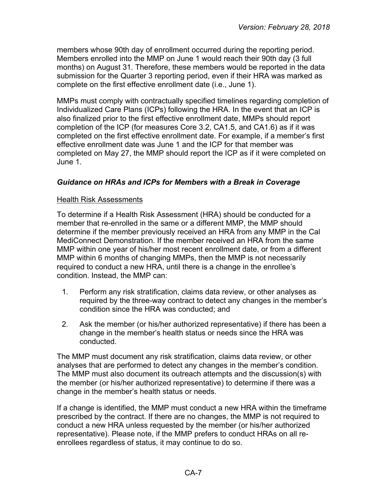members whose 90th day of enrollment occurred during the reporting period. Members enrolled into the MMP on June 1 would reach their 90th day (3 full months) on August 31. Therefore, these members would be reported in the data submission for the Quarter 3 reporting period, even if their HRA was marked as complete on the first effective enrollment date (i.e., June 1).

MMPs must comply with contractually specified timelines regarding completion of Individualized Care Plans (ICPs) following the HRA. In the event that an ICP is also finalized prior to the first effective enrollment date, MMPs should report completion of the ICP (for measures Core 3.2, CA1.5, and CA1.6) as if it was completed on the first effective enrollment date. For example, if a member's first effective enrollment date was June 1 and the ICP for that member was completed on May 27, the MMP should report the ICP as if it were completed on June 1.

#### <span id="page-6-0"></span>*Guidance on HRAs and ICPs for Members with a Break in Coverage*

#### Health Risk Assessments

To determine if a Health Risk Assessment (HRA) should be conducted for a member that re-enrolled in the same or a different MMP, the MMP should determine if the member previously received an HRA from any MMP in the Cal MediConnect Demonstration. If the member received an HRA from the same MMP within one year of his/her most recent enrollment date, or from a different MMP within 6 months of changing MMPs, then the MMP is not necessarily required to conduct a new HRA, until there is a change in the enrollee's condition. Instead, the MMP can:

- 1. Perform any risk stratification, claims data review, or other analyses as required by the three-way contract to detect any changes in the member's condition since the HRA was conducted; and
- 2. Ask the member (or his/her authorized representative) if there has been a change in the member's health status or needs since the HRA was conducted.

The MMP must document any risk stratification, claims data review, or other analyses that are performed to detect any changes in the member's condition. The MMP must also document its outreach attempts and the discussion(s) with the member (or his/her authorized representative) to determine if there was a change in the member's health status or needs.

If a change is identified, the MMP must conduct a new HRA within the timeframe prescribed by the contract. If there are no changes, the MMP is not required to conduct a new HRA unless requested by the member (or his/her authorized representative). Please note, if the MMP prefers to conduct HRAs on all reenrollees regardless of status, it may continue to do so.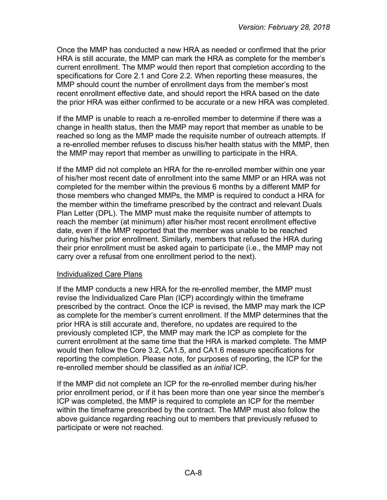Once the MMP has conducted a new HRA as needed or confirmed that the prior HRA is still accurate, the MMP can mark the HRA as complete for the member's current enrollment. The MMP would then report that completion according to the specifications for Core 2.1 and Core 2.2. When reporting these measures, the MMP should count the number of enrollment days from the member's most recent enrollment effective date, and should report the HRA based on the date the prior HRA was either confirmed to be accurate or a new HRA was completed.

If the MMP is unable to reach a re-enrolled member to determine if there was a change in health status, then the MMP may report that member as unable to be reached so long as the MMP made the requisite number of outreach attempts. If a re-enrolled member refuses to discuss his/her health status with the MMP, then the MMP may report that member as unwilling to participate in the HRA.

If the MMP did not complete an HRA for the re-enrolled member within one year of his/her most recent date of enrollment into the same MMP or an HRA was not completed for the member within the previous 6 months by a different MMP for those members who changed MMPs, the MMP is required to conduct a HRA for the member within the timeframe prescribed by the contract and relevant Duals Plan Letter (DPL). The MMP must make the requisite number of attempts to reach the member (at minimum) after his/her most recent enrollment effective date, even if the MMP reported that the member was unable to be reached during his/her prior enrollment. Similarly, members that refused the HRA during their prior enrollment must be asked again to participate (i.e., the MMP may not carry over a refusal from one enrollment period to the next).

#### Individualized Care Plans

If the MMP conducts a new HRA for the re-enrolled member, the MMP must revise the Individualized Care Plan (ICP) accordingly within the timeframe prescribed by the contract. Once the ICP is revised, the MMP may mark the ICP as complete for the member's current enrollment. If the MMP determines that the prior HRA is still accurate and, therefore, no updates are required to the previously completed ICP, the MMP may mark the ICP as complete for the current enrollment at the same time that the HRA is marked complete. The MMP would then follow the Core 3.2, CA1.5, and CA1.6 measure specifications for reporting the completion. Please note, for purposes of reporting, the ICP for the re-enrolled member should be classified as an *initial* ICP.

If the MMP did not complete an ICP for the re-enrolled member during his/her prior enrollment period, or if it has been more than one year since the member's ICP was completed, the MMP is required to complete an ICP for the member within the timeframe prescribed by the contract. The MMP must also follow the above guidance regarding reaching out to members that previously refused to participate or were not reached.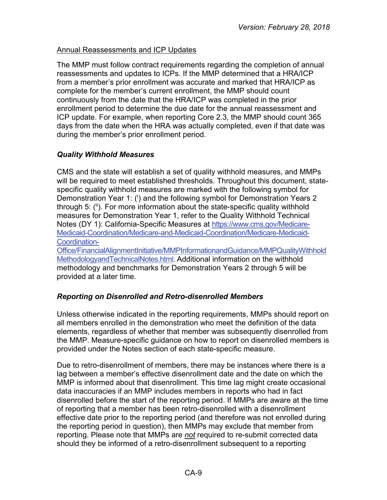## Annual Reassessments and ICP Updates

The MMP must follow contract requirements regarding the completion of annual reassessments and updates to ICPs. If the MMP determined that a HRA/ICP from a member's prior enrollment was accurate and marked that HRA/ICP as complete for the member's current enrollment, the MMP should count continuously from the date that the HRA/ICP was completed in the prior enrollment period to determine the due date for the annual reassessment and ICP update. For example, when reporting Core 2.3, the MMP should count 365 days from the date when the HRA was actually completed, even if that date was during the member's prior enrollment period.

## <span id="page-8-0"></span>*Quality Withhold Measures*

CMS and the state will establish a set of quality withhold measures, and MMPs will be required to meet established thresholds. Throughout this document, statespecific quality withhold measures are marked with the following symbol for Demonstration Year 1: (i) and the following symbol for Demonstration Years 2 through 5: (ii). For more information about the state-specific quality withhold measures for Demonstration Year 1, refer to the Quality Withhold Technical Notes (DY 1): California-Specific Measures at [https://www.cms.gov/Medicare-](https://www.cms.gov/Medicare-Medicaid-Coordination/Medicare-and-Medicaid-Coordination/Medicare-Medicaid-Coordination-Office/FinancialAlignmentInitiative/MMPInformationandGuidance/MMPQualityWithholdMethodologyandTechnicalNotes.html)[Medicaid-Coordination/Medicare-and-Medicaid-Coordination/Medicare-Medicaid-](https://www.cms.gov/Medicare-Medicaid-Coordination/Medicare-and-Medicaid-Coordination/Medicare-Medicaid-Coordination-Office/FinancialAlignmentInitiative/MMPInformationandGuidance/MMPQualityWithholdMethodologyandTechnicalNotes.html)[Coordination-](https://www.cms.gov/Medicare-Medicaid-Coordination/Medicare-and-Medicaid-Coordination/Medicare-Medicaid-Coordination-Office/FinancialAlignmentInitiative/MMPInformationandGuidance/MMPQualityWithholdMethodologyandTechnicalNotes.html)

[Office/FinancialAlignmentInitiative/MMPInformationandGuidance/MMPQualityWithhold](https://www.cms.gov/Medicare-Medicaid-Coordination/Medicare-and-Medicaid-Coordination/Medicare-Medicaid-Coordination-Office/FinancialAlignmentInitiative/MMPInformationandGuidance/MMPQualityWithholdMethodologyandTechnicalNotes.html) [MethodologyandTechnicalNotes.html.](https://www.cms.gov/Medicare-Medicaid-Coordination/Medicare-and-Medicaid-Coordination/Medicare-Medicaid-Coordination-Office/FinancialAlignmentInitiative/MMPInformationandGuidance/MMPQualityWithholdMethodologyandTechnicalNotes.html) Additional information on the withhold methodology and benchmarks for Demonstration Years 2 through 5 will be provided at a later time.

## <span id="page-8-1"></span>*Reporting on Disenrolled and Retro-disenrolled Members*

Unless otherwise indicated in the reporting requirements, MMPs should report on all members enrolled in the demonstration who meet the definition of the data elements, regardless of whether that member was subsequently disenrolled from the MMP. Measure-specific guidance on how to report on disenrolled members is provided under the Notes section of each state-specific measure.

Due to retro-disenrollment of members, there may be instances where there is a lag between a member's effective disenrollment date and the date on which the MMP is informed about that disenrollment. This time lag might create occasional data inaccuracies if an MMP includes members in reports who had in fact disenrolled before the start of the reporting period. If MMPs are aware at the time of reporting that a member has been retro-disenrolled with a disenrollment effective date prior to the reporting period (and therefore was not enrolled during the reporting period in question), then MMPs may exclude that member from reporting. Please note that MMPs are *not* required to re-submit corrected data should they be informed of a retro-disenrollment subsequent to a reporting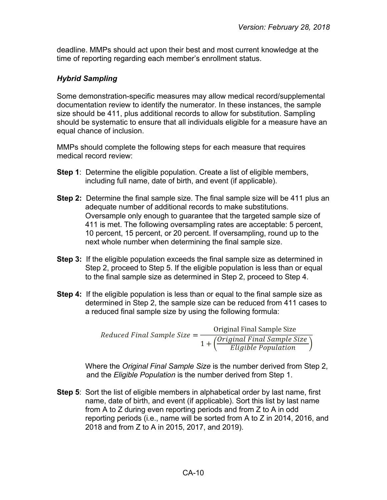deadline. MMPs should act upon their best and most current knowledge at the time of reporting regarding each member's enrollment status.

#### <span id="page-9-0"></span>*Hybrid Sampling*

Some demonstration-specific measures may allow medical record/supplemental documentation review to identify the numerator. In these instances, the sample size should be 411, plus additional records to allow for substitution. Sampling should be systematic to ensure that all individuals eligible for a measure have an equal chance of inclusion.

MMPs should complete the following steps for each measure that requires medical record review:

- **Step 1**: Determine the eligible population. Create a list of eligible members, including full name, date of birth, and event (if applicable).
- **Step 2:** Determine the final sample size. The final sample size will be 411 plus an adequate number of additional records to make substitutions. Oversample only enough to guarantee that the targeted sample size of 411 is met. The following oversampling rates are acceptable: 5 percent, 10 percent, 15 percent, or 20 percent. If oversampling, round up to the next whole number when determining the final sample size.
- **Step 3:** If the eligible population exceeds the final sample size as determined in Step 2, proceed to Step 5. If the eligible population is less than or equal to the final sample size as determined in Step 2, proceed to Step 4.
- **Step 4:** If the eligible population is less than or equal to the final sample size as determined in Step 2, the sample size can be reduced from 411 cases to a reduced final sample size by using the following formula:

Reduced Final Sample Size =  $\frac{\text{Original Final}}{1 + \left(\frac{\text{Original Final Sample Size}}{\text{Eligible Population}}\right)}$ 

Where the *Original Final Sample Size* is the number derived from Step 2, and the *Eligible Population* is the number derived from Step 1.

**Step 5**: Sort the list of eligible members in alphabetical order by last name, first name, date of birth, and event (if applicable). Sort this list by last name from A to Z during even reporting periods and from Z to A in odd reporting periods (i.e., name will be sorted from A to Z in 2014, 2016, and 2018 and from Z to A in 2015, 2017, and 2019).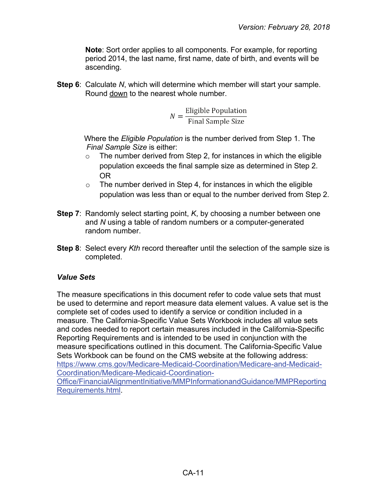**Note**: Sort order applies to all components. For example, for reporting period 2014, the last name, first name, date of birth, and events will be ascending.

**Step 6**: Calculate *N*, which will determine which member will start your sample. Round down to the nearest whole number.

$$
N = \frac{\text{Eligible Population}}{\text{Final Sample Size}}
$$

Where the *Eligible Population* is the number derived from Step 1. The *Final Sample Size* is either:

- $\circ$  The number derived from Step 2, for instances in which the eligible population exceeds the final sample size as determined in Step 2. OR
- $\circ$  The number derived in Step 4, for instances in which the eligible population was less than or equal to the number derived from Step 2.
- **Step 7**:Randomly select starting point, *K*, by choosing a number between one and *N* using a table of random numbers or a computer-generated random number.
- **Step 8**: Select every *Kth* record thereafter until the selection of the sample size is completed.

#### <span id="page-10-0"></span>*Value Sets*

<span id="page-10-1"></span>The measure specifications in this document refer to code value sets that must be used to determine and report measure data element values. A value set is the complete set of codes used to identify a service or condition included in a measure. The California-Specific Value Sets Workbook includes all value sets and codes needed to report certain measures included in the California-Specific Reporting Requirements and is intended to be used in conjunction with the measure specifications outlined in this document. The California-Specific Value Sets Workbook can be found on the CMS website at the following address: [https://www.cms.gov/Medicare-Medicaid-Coordination/Medicare-and-Medicaid-](https://www.cms.gov/Medicare-Medicaid-Coordination/Medicare-and-Medicaid-Coordination/Medicare-Medicaid-Coordination-Office/FinancialAlignmentInitiative/MMPInformationandGuidance/MMPReportingRequirements.html)[Coordination/Medicare-Medicaid-Coordination-](https://www.cms.gov/Medicare-Medicaid-Coordination/Medicare-and-Medicaid-Coordination/Medicare-Medicaid-Coordination-Office/FinancialAlignmentInitiative/MMPInformationandGuidance/MMPReportingRequirements.html)[Office/FinancialAlignmentInitiative/MMPInformationandGuidance/MMPReporting](https://www.cms.gov/Medicare-Medicaid-Coordination/Medicare-and-Medicaid-Coordination/Medicare-Medicaid-Coordination-Office/FinancialAlignmentInitiative/MMPInformationandGuidance/MMPReportingRequirements.html) [Requirements.html.](https://www.cms.gov/Medicare-Medicaid-Coordination/Medicare-and-Medicaid-Coordination/Medicare-Medicaid-Coordination-Office/FinancialAlignmentInitiative/MMPInformationandGuidance/MMPReportingRequirements.html)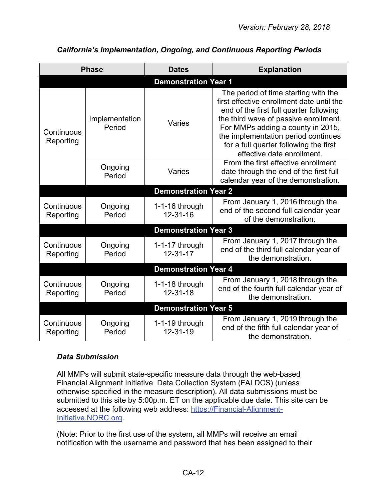| <b>Phase</b>                |                          | <b>Dates</b>                     | <b>Explanation</b>                                                                                                                                                                                                                                                                                                        |  |  |  |
|-----------------------------|--------------------------|----------------------------------|---------------------------------------------------------------------------------------------------------------------------------------------------------------------------------------------------------------------------------------------------------------------------------------------------------------------------|--|--|--|
| <b>Demonstration Year 1</b> |                          |                                  |                                                                                                                                                                                                                                                                                                                           |  |  |  |
| Continuous<br>Reporting     | Implementation<br>Period | Varies                           | The period of time starting with the<br>first effective enrollment date until the<br>end of the first full quarter following<br>the third wave of passive enrollment.<br>For MMPs adding a county in 2015,<br>the implementation period continues<br>for a full quarter following the first<br>effective date enrollment. |  |  |  |
|                             | Ongoing<br>Period        | Varies                           | From the first effective enrollment<br>date through the end of the first full<br>calendar year of the demonstration.                                                                                                                                                                                                      |  |  |  |
| <b>Demonstration Year 2</b> |                          |                                  |                                                                                                                                                                                                                                                                                                                           |  |  |  |
| Continuous<br>Reporting     | Ongoing<br>Period        | 1-1-16 through<br>$12 - 31 - 16$ | From January 1, 2016 through the<br>end of the second full calendar year<br>of the demonstration.                                                                                                                                                                                                                         |  |  |  |
|                             |                          | <b>Demonstration Year 3</b>      |                                                                                                                                                                                                                                                                                                                           |  |  |  |
| Continuous<br>Reporting     | Ongoing<br>Period        | 1-1-17 through<br>$12 - 31 - 17$ | From January 1, 2017 through the<br>end of the third full calendar year of<br>the demonstration.                                                                                                                                                                                                                          |  |  |  |
|                             |                          | <b>Demonstration Year 4</b>      |                                                                                                                                                                                                                                                                                                                           |  |  |  |
| Continuous<br>Reporting     | Ongoing<br>Period        | 1-1-18 through<br>$12 - 31 - 18$ | From January 1, 2018 through the<br>end of the fourth full calendar year of<br>the demonstration.                                                                                                                                                                                                                         |  |  |  |
|                             |                          | <b>Demonstration Year 5</b>      |                                                                                                                                                                                                                                                                                                                           |  |  |  |
| Continuous<br>Reporting     | Ongoing<br>Period        | 1-1-19 through<br>12-31-19       | From January 1, 2019 through the<br>end of the fifth full calendar year of<br>the demonstration.                                                                                                                                                                                                                          |  |  |  |

## *California's Implementation, Ongoing, and Continuous Reporting Periods*

## <span id="page-11-0"></span>*Data Submission*

All MMPs will submit state-specific measure data through the web-based Financial Alignment Initiative Data Collection System (FAI DCS) (unless otherwise specified in the measure description). All data submissions must be submitted to this site by 5:00p.m. ET on the applicable due date. This site can be accessed at the following web address: [https://Financial-Alignment-](https://financial-alignment-initiative.norc.org/)[Initiative.NORC.org.](https://financial-alignment-initiative.norc.org/)

(Note: Prior to the first use of the system, all MMPs will receive an email notification with the username and password that has been assigned to their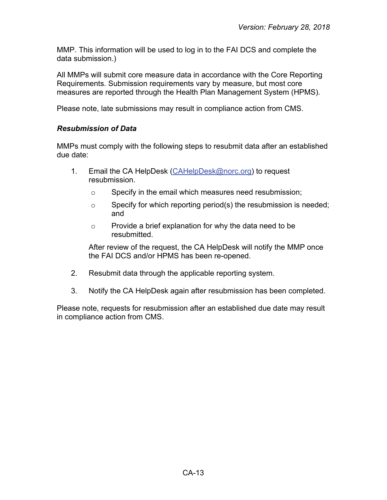MMP. This information will be used to log in to the FAI DCS and complete the data submission.)

All MMPs will submit core measure data in accordance with the Core Reporting Requirements. Submission requirements vary by measure, but most core measures are reported through the Health Plan Management System (HPMS).

Please note, late submissions may result in compliance action from CMS.

#### <span id="page-12-0"></span>*Resubmission of Data*

MMPs must comply with the following steps to resubmit data after an established due date:

- 1. Email the CA HelpDesk [\(CAHelpDesk@norc.org\)](mailto:CAHelpDesk@norc.org) to request resubmission.
	- o Specify in the email which measures need resubmission;
	- $\circ$  Specify for which reporting period(s) the resubmission is needed; and
	- o Provide a brief explanation for why the data need to be resubmitted.

After review of the request, the CA HelpDesk will notify the MMP once the FAI DCS and/or HPMS has been re-opened.

- 2. Resubmit data through the applicable reporting system.
- 3. Notify the CA HelpDesk again after resubmission has been completed.

Please note, requests for resubmission after an established due date may result in compliance action from CMS.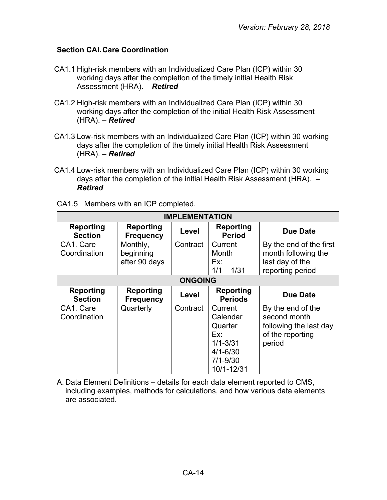#### <span id="page-13-0"></span>**Section CAI.Care Coordination**

- CA1.1 High-risk members with an Individualized Care Plan (ICP) within 30 working days after the completion of the timely initial Health Risk Assessment (HRA). – *Retired*
- CA1.2 High-risk members with an Individualized Care Plan (ICP) within 30 working days after the completion of the initial Health Risk Assessment (HRA). – *Retired*
- CA1.3 Low-risk members with an Individualized Care Plan (ICP) within 30 working days after the completion of the timely initial Health Risk Assessment (HRA). – *Retired*
- CA1.4 Low-risk members with an Individualized Care Plan (ICP) within 30 working days after the completion of the initial Health Risk Assessment (HRA). – *Retired*

| <b>IMPLEMENTATION</b>              |                                        |                |                                                                                                     |                                                                                           |
|------------------------------------|----------------------------------------|----------------|-----------------------------------------------------------------------------------------------------|-------------------------------------------------------------------------------------------|
| <b>Reporting</b><br><b>Section</b> | <b>Reporting</b><br><b>Frequency</b>   | Level          | Reporting<br><b>Period</b>                                                                          | Due Date                                                                                  |
| CA1. Care<br>Coordination          | Monthly,<br>beginning<br>after 90 days | Contract       | Current<br>Month<br>Ex:<br>$1/1 - 1/31$                                                             | By the end of the first<br>month following the<br>last day of the<br>reporting period     |
|                                    |                                        | <b>ONGOING</b> |                                                                                                     |                                                                                           |
| Reporting<br><b>Section</b>        | <b>Reporting</b><br><b>Frequency</b>   | Level          | Reporting<br><b>Periods</b>                                                                         | Due Date                                                                                  |
| CA1. Care<br>Coordination          | Quarterly                              | Contract       | Current<br>Calendar<br>Quarter<br>Ex:<br>$1/1 - 3/31$<br>$4/1 - 6/30$<br>$7/1 - 9/30$<br>10/1-12/31 | By the end of the<br>second month<br>following the last day<br>of the reporting<br>period |

CA1.5 Members with an ICP completed.

A. Data Element Definitions – details for each data element reported to CMS, including examples, methods for calculations, and how various data elements are associated.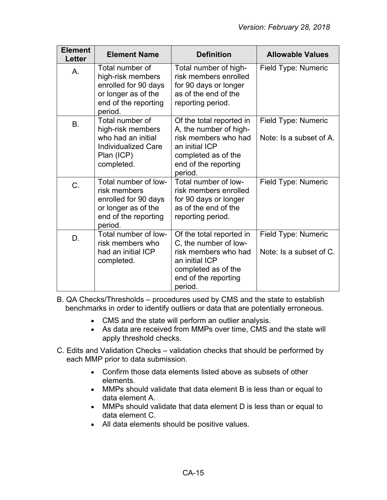| <b>Element</b><br>Letter | <b>Element Name</b>                                                                                                    | <b>Definition</b>                                                                                                                                      | <b>Allowable Values</b>                        |
|--------------------------|------------------------------------------------------------------------------------------------------------------------|--------------------------------------------------------------------------------------------------------------------------------------------------------|------------------------------------------------|
| Α.                       | Total number of<br>high-risk members<br>enrolled for 90 days<br>or longer as of the<br>end of the reporting<br>period. | Total number of high-<br>risk members enrolled<br>for 90 days or longer<br>as of the end of the<br>reporting period.                                   | Field Type: Numeric                            |
| B.                       | Total number of<br>high-risk members<br>who had an initial<br><b>Individualized Care</b><br>Plan (ICP)<br>completed.   | Of the total reported in<br>A, the number of high-<br>risk members who had<br>an initial ICP<br>completed as of the<br>end of the reporting<br>period. | Field Type: Numeric<br>Note: Is a subset of A. |
| C.                       | Total number of low-<br>risk members<br>enrolled for 90 days<br>or longer as of the<br>end of the reporting<br>period. | Total number of low-<br>risk members enrolled<br>for 90 days or longer<br>as of the end of the<br>reporting period.                                    | Field Type: Numeric                            |
| D.                       | Total number of low-<br>risk members who<br>had an initial ICP<br>completed.                                           | Of the total reported in<br>C, the number of low-<br>risk members who had<br>an initial ICP<br>completed as of the<br>end of the reporting<br>period.  | Field Type: Numeric<br>Note: Is a subset of C. |

B. QA Checks/Thresholds – procedures used by CMS and the state to establish benchmarks in order to identify outliers or data that are potentially erroneous.

- CMS and the state will perform an outlier analysis.
- As data are received from MMPs over time, CMS and the state will apply threshold checks.
- C. Edits and Validation Checks validation checks that should be performed by each MMP prior to data submission.
	- Confirm those data elements listed above as subsets of other elements.
	- MMPs should validate that data element B is less than or equal to data element A.
	- MMPs should validate that data element D is less than or equal to data element C.
	- All data elements should be positive values.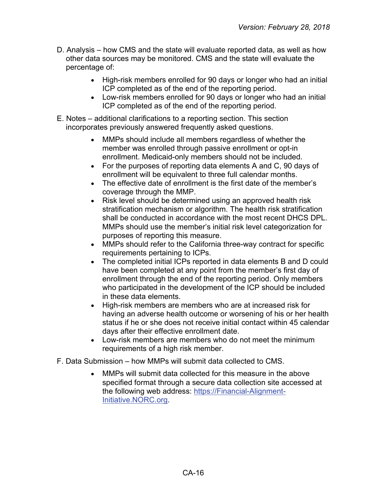- D. Analysis how CMS and the state will evaluate reported data, as well as how other data sources may be monitored. CMS and the state will evaluate the percentage of:
	- High-risk members enrolled for 90 days or longer who had an initial ICP completed as of the end of the reporting period.
	- Low-risk members enrolled for 90 days or longer who had an initial ICP completed as of the end of the reporting period.
- E. Notes additional clarifications to a reporting section. This section incorporates previously answered frequently asked questions.
	- MMPs should include all members regardless of whether the member was enrolled through passive enrollment or opt-in enrollment. Medicaid-only members should not be included.
	- For the purposes of reporting data elements A and C, 90 days of enrollment will be equivalent to three full calendar months.
	- The effective date of enrollment is the first date of the member's coverage through the MMP.
	- Risk level should be determined using an approved health risk stratification mechanism or algorithm. The health risk stratification shall be conducted in accordance with the most recent DHCS DPL. MMPs should use the member's initial risk level categorization for purposes of reporting this measure.
	- MMPs should refer to the California three-way contract for specific requirements pertaining to ICPs.
	- The completed initial ICPs reported in data elements B and D could have been completed at any point from the member's first day of enrollment through the end of the reporting period. Only members who participated in the development of the ICP should be included in these data elements.
	- High-risk members are members who are at increased risk for having an adverse health outcome or worsening of his or her health status if he or she does not receive initial contact within 45 calendar days after their effective enrollment date.
	- Low-risk members are members who do not meet the minimum requirements of a high risk member.
- F. Data Submission how MMPs will submit data collected to CMS.
	- MMPs will submit data collected for this measure in the above specified format through a secure data collection site accessed at the following web address: [https://Financial-Alignment-](https://financial-alignment-initiative.norc.org/)[Initiative.NORC.org.](https://financial-alignment-initiative.norc.org/)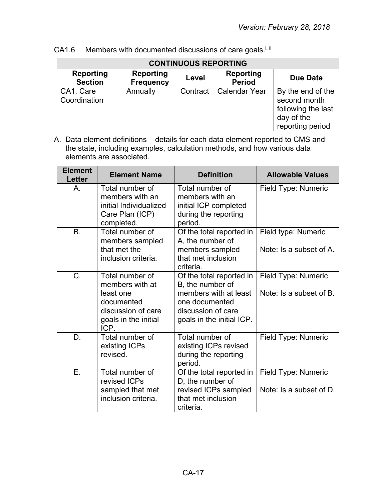| <b>CONTINUOUS REPORTING</b>        |                                      |          |                            |                                                                                           |
|------------------------------------|--------------------------------------|----------|----------------------------|-------------------------------------------------------------------------------------------|
| <b>Reporting</b><br><b>Section</b> | <b>Reporting</b><br><b>Frequency</b> | Level    | Reporting<br><b>Period</b> | <b>Due Date</b>                                                                           |
| CA1. Care<br>Coordination          | Annually                             | Contract | <b>Calendar Year</b>       | By the end of the<br>second month<br>following the last<br>day of the<br>reporting period |

CA1.6 Members with documented discussions of care goals.<sup>i, ii</sup>

| <b>Element</b><br><b>Letter</b> | <b>Element Name</b>                                                                                                 | <b>Definition</b>                                                                                                                          | <b>Allowable Values</b>                        |
|---------------------------------|---------------------------------------------------------------------------------------------------------------------|--------------------------------------------------------------------------------------------------------------------------------------------|------------------------------------------------|
| A.                              | Total number of<br>members with an<br>initial Individualized<br>Care Plan (ICP)<br>completed.                       | Total number of<br>members with an<br>initial ICP completed<br>during the reporting<br>period.                                             | Field Type: Numeric                            |
| <b>B.</b>                       | Total number of<br>members sampled<br>that met the<br>inclusion criteria.                                           | Of the total reported in<br>A, the number of<br>members sampled<br>that met inclusion<br>criteria.                                         | Field type: Numeric<br>Note: Is a subset of A. |
| $C_{\cdot}$                     | Total number of<br>members with at<br>least one<br>documented<br>discussion of care<br>goals in the initial<br>ICP. | Of the total reported in<br>B, the number of<br>members with at least<br>one documented<br>discussion of care<br>goals in the initial ICP. | Field Type: Numeric<br>Note: Is a subset of B. |
| D.                              | Total number of<br>existing ICPs<br>revised.                                                                        | Total number of<br>existing ICPs revised<br>during the reporting<br>period.                                                                | Field Type: Numeric                            |
| Ε.                              | Total number of<br>revised ICPs<br>sampled that met<br>inclusion criteria.                                          | Of the total reported in<br>D, the number of<br>revised ICPs sampled<br>that met inclusion<br>criteria.                                    | Field Type: Numeric<br>Note: Is a subset of D. |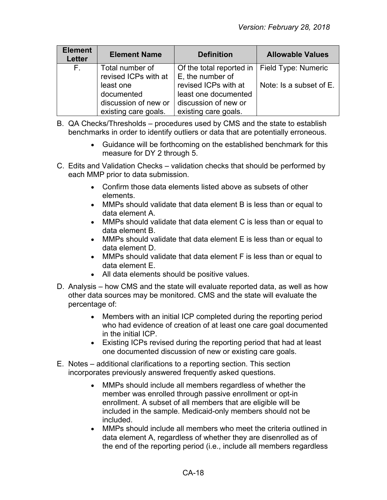| <b>Element</b><br><b>Letter</b> | <b>Element Name</b>                                                     | <b>Definition</b>                                                                            | <b>Allowable Values</b> |
|---------------------------------|-------------------------------------------------------------------------|----------------------------------------------------------------------------------------------|-------------------------|
| $F_{\rm{H}}$                    | Total number of<br>revised ICPs with at                                 | Of the total reported in   Field Type: Numeric<br>E, the number of                           |                         |
|                                 | least one<br>documented<br>discussion of new or<br>existing care goals. | revised ICPs with at<br>least one documented<br>discussion of new or<br>existing care goals. | Note: Is a subset of E. |

- B. QA Checks/Thresholds procedures used by CMS and the state to establish benchmarks in order to identify outliers or data that are potentially erroneous.
	- Guidance will be forthcoming on the established benchmark for this measure for DY 2 through 5.
- C. Edits and Validation Checks validation checks that should be performed by each MMP prior to data submission.
	- Confirm those data elements listed above as subsets of other elements.
	- MMPs should validate that data element B is less than or equal to data element A.
	- MMPs should validate that data element C is less than or equal to data element B.
	- MMPs should validate that data element E is less than or equal to data element D.
	- MMPs should validate that data element F is less than or equal to data element E.
	- All data elements should be positive values.
- D. Analysis how CMS and the state will evaluate reported data, as well as how other data sources may be monitored. CMS and the state will evaluate the percentage of:
	- Members with an initial ICP completed during the reporting period who had evidence of creation of at least one care goal documented in the initial ICP.
	- Existing ICPs revised during the reporting period that had at least one documented discussion of new or existing care goals.
- E. Notes additional clarifications to a reporting section. This section incorporates previously answered frequently asked questions.
	- MMPs should include all members regardless of whether the member was enrolled through passive enrollment or opt-in enrollment. A subset of all members that are eligible will be included in the sample. Medicaid-only members should not be included.
	- MMPs should include all members who meet the criteria outlined in data element A, regardless of whether they are disenrolled as of the end of the reporting period (i.e., include all members regardless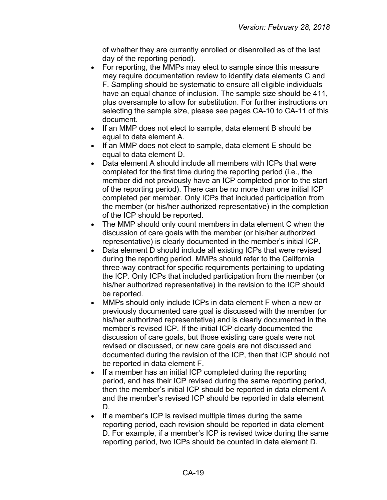of whether they are currently enrolled or disenrolled as of the last day of the reporting period).

- For reporting, the MMPs may elect to sample since this measure may require documentation review to identify data elements C and F. Sampling should be systematic to ensure all eligible individuals have an equal chance of inclusion. The sample size should be 411, plus oversample to allow for substitution. For further instructions on selecting the sample size, please see pages CA-10 to CA-11 of this document.
- If an MMP does not elect to sample, data element B should be equal to data element A.
- If an MMP does not elect to sample, data element E should be equal to data element D.
- Data element A should include all members with ICPs that were completed for the first time during the reporting period (i.e., the member did not previously have an ICP completed prior to the start of the reporting period). There can be no more than one initial ICP completed per member. Only ICPs that included participation from the member (or his/her authorized representative) in the completion of the ICP should be reported.
- The MMP should only count members in data element C when the discussion of care goals with the member (or his/her authorized representative) is clearly documented in the member's initial ICP.
- Data element D should include all existing ICPs that were revised during the reporting period. MMPs should refer to the California three-way contract for specific requirements pertaining to updating the ICP. Only ICPs that included participation from the member (or his/her authorized representative) in the revision to the ICP should be reported.
- MMPs should only include ICPs in data element F when a new or previously documented care goal is discussed with the member (or his/her authorized representative) and is clearly documented in the member's revised ICP. If the initial ICP clearly documented the discussion of care goals, but those existing care goals were not revised or discussed, or new care goals are not discussed and documented during the revision of the ICP, then that ICP should not be reported in data element F.
- If a member has an initial ICP completed during the reporting period, and has their ICP revised during the same reporting period, then the member's initial ICP should be reported in data element A and the member's revised ICP should be reported in data element D.
- If a member's ICP is revised multiple times during the same reporting period, each revision should be reported in data element D. For example, if a member's ICP is revised twice during the same reporting period, two ICPs should be counted in data element D.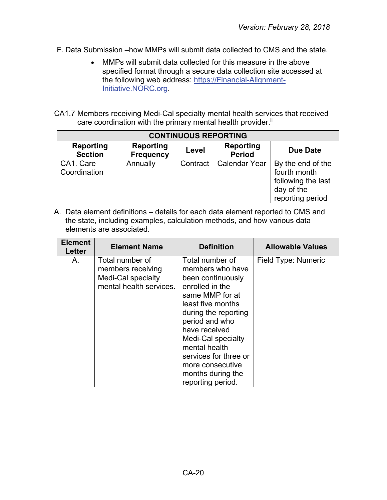- F. Data Submission –how MMPs will submit data collected to CMS and the state.
	- MMPs will submit data collected for this measure in the above specified format through a secure data collection site accessed at the following web address: [https://Financial-Alignment-](https://financial-alignment-initiative.norc.org/)[Initiative.NORC.org.](https://financial-alignment-initiative.norc.org/)
- CA1.7 Members receiving Medi-Cal specialty mental health services that received care coordination with the primary mental health provider.<sup>ii</sup>

| <b>CONTINUOUS REPORTING</b>        |                                      |          |                                   |                                                                                           |
|------------------------------------|--------------------------------------|----------|-----------------------------------|-------------------------------------------------------------------------------------------|
| <b>Reporting</b><br><b>Section</b> | <b>Reporting</b><br><b>Frequency</b> | Level    | <b>Reporting</b><br><b>Period</b> | Due Date                                                                                  |
| CA1. Care<br>Coordination          | Annually                             | Contract | Calendar Year                     | By the end of the<br>fourth month<br>following the last<br>day of the<br>reporting period |

| <b>Element</b><br>Letter | <b>Element Name</b>                                                                   | <b>Definition</b>                                                                                                                                                                                                                                                                                            | <b>Allowable Values</b> |
|--------------------------|---------------------------------------------------------------------------------------|--------------------------------------------------------------------------------------------------------------------------------------------------------------------------------------------------------------------------------------------------------------------------------------------------------------|-------------------------|
| А.                       | Total number of<br>members receiving<br>Medi-Cal specialty<br>mental health services. | Total number of<br>members who have<br>been continuously<br>enrolled in the<br>same MMP for at<br>least five months<br>during the reporting<br>period and who<br>have received<br>Medi-Cal specialty<br>mental health<br>services for three or<br>more consecutive<br>months during the<br>reporting period. | Field Type: Numeric     |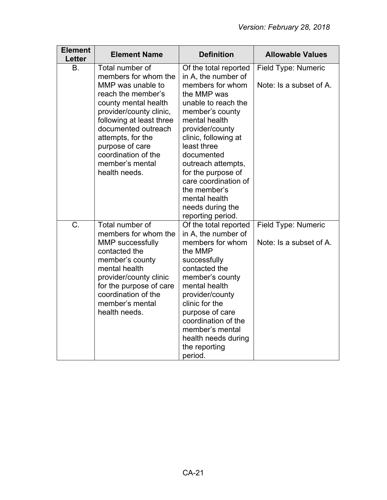| <b>Element</b><br>Letter | <b>Element Name</b>                                                                                                                                                                                                                                                                         | <b>Definition</b>                                                                                                                                                                                                                                                                                                                                                | <b>Allowable Values</b>                        |
|--------------------------|---------------------------------------------------------------------------------------------------------------------------------------------------------------------------------------------------------------------------------------------------------------------------------------------|------------------------------------------------------------------------------------------------------------------------------------------------------------------------------------------------------------------------------------------------------------------------------------------------------------------------------------------------------------------|------------------------------------------------|
| Β.                       | Total number of<br>members for whom the<br>MMP was unable to<br>reach the member's<br>county mental health<br>provider/county clinic,<br>following at least three<br>documented outreach<br>attempts, for the<br>purpose of care<br>coordination of the<br>member's mental<br>health needs. | Of the total reported<br>in A, the number of<br>members for whom<br>the MMP was<br>unable to reach the<br>member's county<br>mental health<br>provider/county<br>clinic, following at<br>least three<br>documented<br>outreach attempts,<br>for the purpose of<br>care coordination of<br>the member's<br>mental health<br>needs during the<br>reporting period. | Field Type: Numeric<br>Note: Is a subset of A. |
| C.                       | Total number of<br>members for whom the<br><b>MMP</b> successfully<br>contacted the<br>member's county<br>mental health<br>provider/county clinic<br>for the purpose of care<br>coordination of the<br>member's mental<br>health needs.                                                     | Of the total reported<br>in A, the number of<br>members for whom<br>the MMP<br>successfully<br>contacted the<br>member's county<br>mental health<br>provider/county<br>clinic for the<br>purpose of care<br>coordination of the<br>member's mental<br>health needs during<br>the reporting<br>period.                                                            | Field Type: Numeric<br>Note: Is a subset of A. |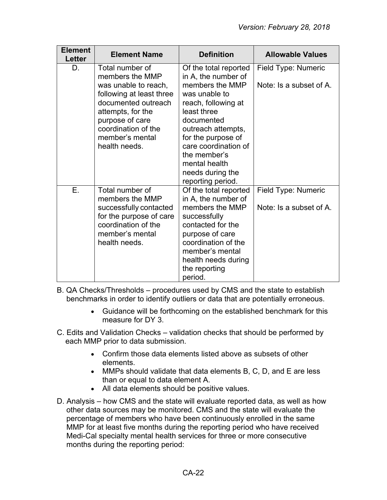| <b>Element</b><br><b>Letter</b> | <b>Element Name</b>                                                                                                                                                                                              | <b>Definition</b>                                                                                                                                                                                                                                                                  | <b>Allowable Values</b>                        |
|---------------------------------|------------------------------------------------------------------------------------------------------------------------------------------------------------------------------------------------------------------|------------------------------------------------------------------------------------------------------------------------------------------------------------------------------------------------------------------------------------------------------------------------------------|------------------------------------------------|
| D.                              | Total number of<br>members the MMP<br>was unable to reach,<br>following at least three<br>documented outreach<br>attempts, for the<br>purpose of care<br>coordination of the<br>member's mental<br>health needs. | Of the total reported<br>in A, the number of<br>members the MMP<br>was unable to<br>reach, following at<br>least three<br>documented<br>outreach attempts,<br>for the purpose of<br>care coordination of<br>the member's<br>mental health<br>needs during the<br>reporting period. | Field Type: Numeric<br>Note: Is a subset of A. |
| Е.                              | Total number of<br>members the MMP<br>successfully contacted<br>for the purpose of care<br>coordination of the<br>member's mental<br>health needs.                                                               | Of the total reported<br>in A, the number of<br>members the MMP<br>successfully<br>contacted for the<br>purpose of care<br>coordination of the<br>member's mental<br>health needs during<br>the reporting<br>period.                                                               | Field Type: Numeric<br>Note: Is a subset of A. |

B. QA Checks/Thresholds – procedures used by CMS and the state to establish benchmarks in order to identify outliers or data that are potentially erroneous.

- Guidance will be forthcoming on the established benchmark for this measure for DY 3.
- C. Edits and Validation Checks validation checks that should be performed by each MMP prior to data submission.
	- Confirm those data elements listed above as subsets of other elements.
	- MMPs should validate that data elements B, C, D, and E are less than or equal to data element A.
	- All data elements should be positive values.
- D. Analysis how CMS and the state will evaluate reported data, as well as how other data sources may be monitored. CMS and the state will evaluate the percentage of members who have been continuously enrolled in the same MMP for at least five months during the reporting period who have received Medi-Cal specialty mental health services for three or more consecutive months during the reporting period: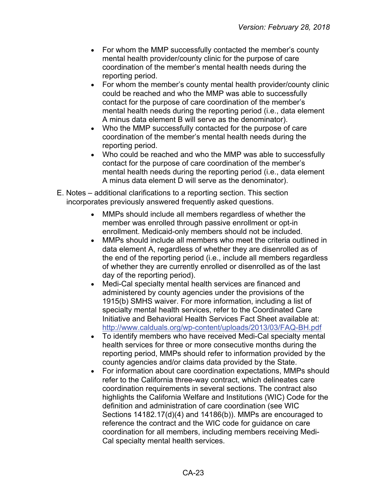- For whom the MMP successfully contacted the member's county mental health provider/county clinic for the purpose of care coordination of the member's mental health needs during the reporting period.
- For whom the member's county mental health provider/county clinic could be reached and who the MMP was able to successfully contact for the purpose of care coordination of the member's mental health needs during the reporting period (i.e., data element A minus data element B will serve as the denominator).
- Who the MMP successfully contacted for the purpose of care coordination of the member's mental health needs during the reporting period.
- Who could be reached and who the MMP was able to successfully contact for the purpose of care coordination of the member's mental health needs during the reporting period (i.e., data element A minus data element D will serve as the denominator).
- E. Notes additional clarifications to a reporting section. This section incorporates previously answered frequently asked questions.
	- MMPs should include all members regardless of whether the member was enrolled through passive enrollment or opt-in enrollment. Medicaid-only members should not be included.
	- MMPs should include all members who meet the criteria outlined in data element A, regardless of whether they are disenrolled as of the end of the reporting period (i.e., include all members regardless of whether they are currently enrolled or disenrolled as of the last day of the reporting period).
	- Medi-Cal specialty mental health services are financed and administered by county agencies under the provisions of the 1915(b) SMHS waiver. For more information, including a list of specialty mental health services, refer to the Coordinated Care Initiative and Behavioral Health Services Fact Sheet available at: <http://www.calduals.org/wp-content/uploads/2013/03/FAQ-BH.pdf>
	- To identify members who have received Medi-Cal specialty mental health services for three or more consecutive months during the reporting period, MMPs should refer to information provided by the county agencies and/or claims data provided by the State.
	- For information about care coordination expectations, MMPs should refer to the California three-way contract, which delineates care coordination requirements in several sections. The contract also highlights the California Welfare and Institutions (WIC) Code for the definition and administration of care coordination (see WIC Sections 14182.17(d)(4) and 14186(b)). MMPs are encouraged to reference the contract and the WIC code for guidance on care coordination for all members, including members receiving Medi-Cal specialty mental health services.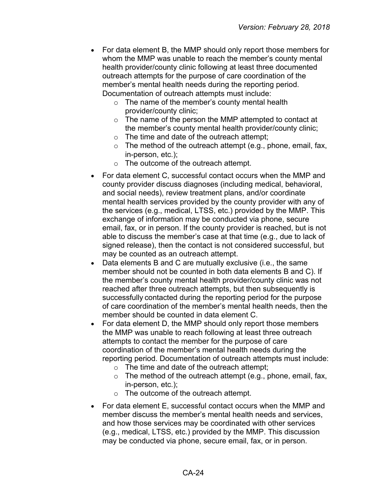- For data element B, the MMP should only report those members for whom the MMP was unable to reach the member's county mental health provider/county clinic following at least three documented outreach attempts for the purpose of care coordination of the member's mental health needs during the reporting period. Documentation of outreach attempts must include:
	- o The name of the member's county mental health provider/county clinic;
	- o The name of the person the MMP attempted to contact at the member's county mental health provider/county clinic;
	- $\circ$  The time and date of the outreach attempt;
	- $\circ$  The method of the outreach attempt (e.g., phone, email, fax, in-person, etc.);
	- o The outcome of the outreach attempt.
- For data element C, successful contact occurs when the MMP and county provider discuss diagnoses (including medical, behavioral, and social needs), review treatment plans, and/or coordinate mental health services provided by the county provider with any of the services (e.g., medical, LTSS, etc.) provided by the MMP. This exchange of information may be conducted via phone, secure email, fax, or in person. If the county provider is reached, but is not able to discuss the member's case at that time (e.g., due to lack of signed release), then the contact is not considered successful, but may be counted as an outreach attempt.
- Data elements B and C are mutually exclusive (i.e., the same member should not be counted in both data elements B and C). If the member's county mental health provider/county clinic was not reached after three outreach attempts, but then subsequently is successfully contacted during the reporting period for the purpose of care coordination of the member's mental health needs, then the member should be counted in data element C.
- For data element D, the MMP should only report those members the MMP was unable to reach following at least three outreach attempts to contact the member for the purpose of care coordination of the member's mental health needs during the reporting period. Documentation of outreach attempts must include:
	- $\circ$  The time and date of the outreach attempt;
	- $\circ$  The method of the outreach attempt (e.g., phone, email, fax, in-person, etc.);
	- o The outcome of the outreach attempt.
- For data element E, successful contact occurs when the MMP and member discuss the member's mental health needs and services, and how those services may be coordinated with other services (e.g., medical, LTSS, etc.) provided by the MMP. This discussion may be conducted via phone, secure email, fax, or in person.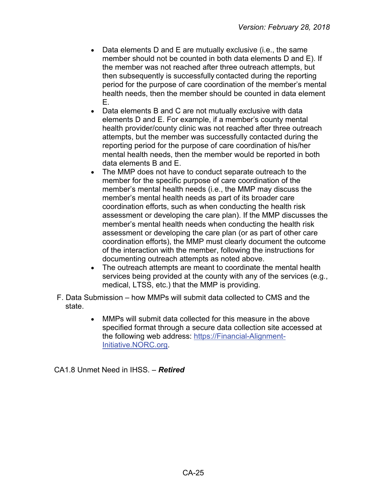- Data elements D and E are mutually exclusive (i.e., the same member should not be counted in both data elements D and E). If the member was not reached after three outreach attempts, but then subsequently is successfully contacted during the reporting period for the purpose of care coordination of the member's mental health needs, then the member should be counted in data element E.
- Data elements B and C are not mutually exclusive with data elements D and E. For example, if a member's county mental health provider/county clinic was not reached after three outreach attempts, but the member was successfully contacted during the reporting period for the purpose of care coordination of his/her mental health needs, then the member would be reported in both data elements B and E.
- The MMP does not have to conduct separate outreach to the member for the specific purpose of care coordination of the member's mental health needs (i.e., the MMP may discuss the member's mental health needs as part of its broader care coordination efforts, such as when conducting the health risk assessment or developing the care plan). If the MMP discusses the member's mental health needs when conducting the health risk assessment or developing the care plan (or as part of other care coordination efforts), the MMP must clearly document the outcome of the interaction with the member, following the instructions for documenting outreach attempts as noted above.
- The outreach attempts are meant to coordinate the mental health services being provided at the county with any of the services (e.g., medical, LTSS, etc.) that the MMP is providing.
- F. Data Submission how MMPs will submit data collected to CMS and the state.
	- MMPs will submit data collected for this measure in the above specified format through a secure data collection site accessed at the following web address: [https://Financial-Alignment-](https://financial-alignment-initiative.norc.org/)[Initiative.NORC.org.](https://financial-alignment-initiative.norc.org/)

CA1.8 Unmet Need in IHSS. – *Retired*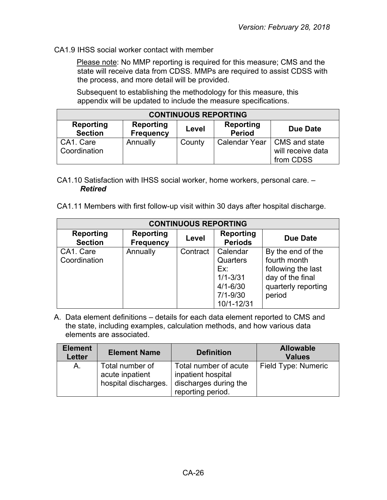#### CA1.9 IHSS social worker contact with member

Please note: No MMP reporting is required for this measure; CMS and the state will receive data from CDSS. MMPs are required to assist CDSS with the process, and more detail will be provided.

Subsequent to establishing the methodology for this measure, this appendix will be updated to include the measure specifications.

| <b>CONTINUOUS REPORTING</b> |                               |        |                            |                                                                 |
|-----------------------------|-------------------------------|--------|----------------------------|-----------------------------------------------------------------|
| Reporting<br><b>Section</b> | Reporting<br><b>Frequency</b> | Level  | Reporting<br><b>Period</b> | Due Date                                                        |
| CA1. Care<br>Coordination   | Annually                      | County |                            | Calendar Year   CMS and state<br>will receive data<br>from CDSS |

- CA1.10 Satisfaction with IHSS social worker, home workers, personal care. *Retired*
- CA1.11 Members with first follow-up visit within 30 days after hospital discharge.

| <b>CONTINUOUS REPORTING</b> |                                      |          |                                                                                           |                                                                                                              |  |
|-----------------------------|--------------------------------------|----------|-------------------------------------------------------------------------------------------|--------------------------------------------------------------------------------------------------------------|--|
| Reporting<br><b>Section</b> | <b>Reporting</b><br><b>Frequency</b> | Level    | Reporting<br><b>Periods</b>                                                               | Due Date                                                                                                     |  |
| CA1. Care<br>Coordination   | Annually                             | Contract | Calendar<br>Quarters<br>Ex:<br>$1/1 - 3/31$<br>$4/1 - 6/30$<br>$7/1 - 9/30$<br>10/1-12/31 | By the end of the<br>fourth month<br>following the last<br>day of the final<br>quarterly reporting<br>period |  |

| <b>Element</b><br><b>Letter</b> | <b>Element Name</b>                                        | <b>Definition</b>                                                                         | <b>Allowable</b><br><b>Values</b> |
|---------------------------------|------------------------------------------------------------|-------------------------------------------------------------------------------------------|-----------------------------------|
| A.                              | Total number of<br>acute inpatient<br>hospital discharges. | Total number of acute<br>inpatient hospital<br>discharges during the<br>reporting period. | Field Type: Numeric               |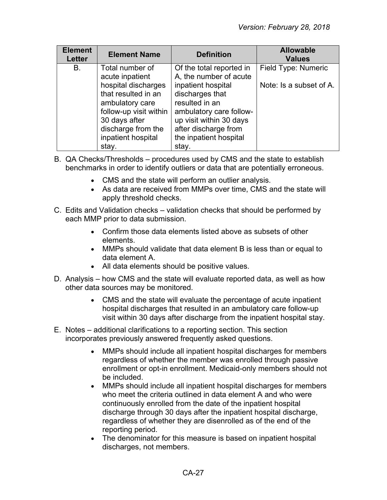| <b>Element</b><br><b>Letter</b> | <b>Element Name</b>                                                                                                                                           | <b>Definition</b>                                                                                                                                                        | <b>Allowable</b><br><b>Values</b> |
|---------------------------------|---------------------------------------------------------------------------------------------------------------------------------------------------------------|--------------------------------------------------------------------------------------------------------------------------------------------------------------------------|-----------------------------------|
| В.                              | Total number of<br>acute inpatient                                                                                                                            | Of the total reported in<br>A, the number of acute                                                                                                                       | Field Type: Numeric               |
|                                 | hospital discharges<br>that resulted in an<br>ambulatory care<br>follow-up visit within<br>30 days after<br>discharge from the<br>inpatient hospital<br>stay. | inpatient hospital<br>discharges that<br>resulted in an<br>ambulatory care follow-<br>up visit within 30 days<br>after discharge from<br>the inpatient hospital<br>stay. | Note: Is a subset of A.           |

- B. QA Checks/Thresholds procedures used by CMS and the state to establish benchmarks in order to identify outliers or data that are potentially erroneous.
	- CMS and the state will perform an outlier analysis.
	- As data are received from MMPs over time, CMS and the state will apply threshold checks.
- C. Edits and Validation checks validation checks that should be performed by each MMP prior to data submission.
	- Confirm those data elements listed above as subsets of other elements.
	- MMPs should validate that data element B is less than or equal to data element A.
	- All data elements should be positive values.
- D. Analysis how CMS and the state will evaluate reported data, as well as how other data sources may be monitored.
	- CMS and the state will evaluate the percentage of acute inpatient hospital discharges that resulted in an ambulatory care follow-up visit within 30 days after discharge from the inpatient hospital stay.
- E. Notes additional clarifications to a reporting section. This section incorporates previously answered frequently asked questions.
	- MMPs should include all inpatient hospital discharges for members regardless of whether the member was enrolled through passive enrollment or opt-in enrollment. Medicaid-only members should not be included.
	- MMPs should include all inpatient hospital discharges for members who meet the criteria outlined in data element A and who were continuously enrolled from the date of the inpatient hospital discharge through 30 days after the inpatient hospital discharge, regardless of whether they are disenrolled as of the end of the reporting period.
	- The denominator for this measure is based on inpatient hospital discharges, not members.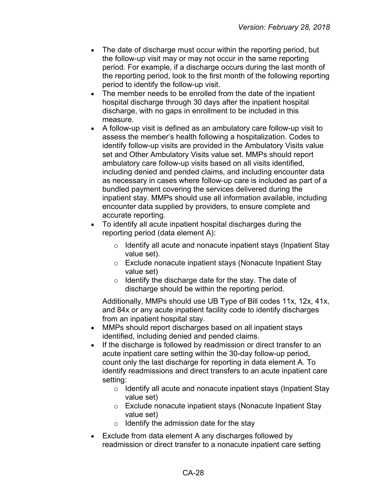- The date of discharge must occur within the reporting period, but the follow-up visit may or may not occur in the same reporting period. For example, if a discharge occurs during the last month of the reporting period, look to the first month of the following reporting period to identify the follow-up visit.
- The member needs to be enrolled from the date of the inpatient hospital discharge through 30 days after the inpatient hospital discharge, with no gaps in enrollment to be included in this measure.
- A follow-up visit is defined as an ambulatory care follow-up visit to assess the member's health following a hospitalization. Codes to identify follow-up visits are provided in the Ambulatory Visits value set and Other Ambulatory Visits value set. MMPs should report ambulatory care follow-up visits based on all visits identified, including denied and pended claims, and including encounter data as necessary in cases where follow-up care is included as part of a bundled payment covering the services delivered during the inpatient stay. MMPs should use all information available, including encounter data supplied by providers, to ensure complete and accurate reporting.
- To identify all acute inpatient hospital discharges during the reporting period (data element A):
	- o Identify all acute and nonacute inpatient stays (Inpatient Stay value set).
	- o Exclude nonacute inpatient stays (Nonacute Inpatient Stay value set)
	- o Identify the discharge date for the stay. The date of discharge should be within the reporting period.

Additionally, MMPs should use UB Type of Bill codes 11x, 12x, 41x, and 84x or any acute inpatient facility code to identify discharges from an inpatient hospital stay.

- MMPs should report discharges based on all inpatient stays identified, including denied and pended claims.
- If the discharge is followed by readmission or direct transfer to an acute inpatient care setting within the 30-day follow-up period, count only the last discharge for reporting in data element A. To identify readmissions and direct transfers to an acute inpatient care setting:
	- o Identify all acute and nonacute inpatient stays (Inpatient Stay value set)
	- o Exclude nonacute inpatient stays (Nonacute Inpatient Stay value set)
	- $\circ$  Identify the admission date for the stay
- Exclude from data element A any discharges followed by readmission or direct transfer to a nonacute inpatient care setting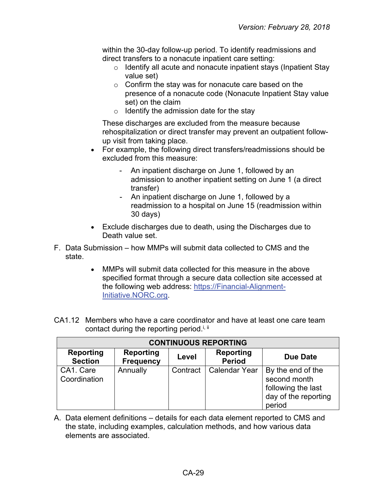within the 30-day follow-up period. To identify readmissions and direct transfers to a nonacute inpatient care setting:

- $\circ$  Identify all acute and nonacute inpatient stays (Inpatient Stay value set)
- o Confirm the stay was for nonacute care based on the presence of a nonacute code (Nonacute Inpatient Stay value set) on the claim
- $\circ$  Identify the admission date for the stay

These discharges are excluded from the measure because rehospitalization or direct transfer may prevent an outpatient followup visit from taking place.

- For example, the following direct transfers/readmissions should be excluded from this measure:
	- An inpatient discharge on June 1, followed by an admission to another inpatient setting on June 1 (a direct transfer)
	- An inpatient discharge on June 1, followed by a readmission to a hospital on June 15 (readmission within 30 days)
- Exclude discharges due to death, using the Discharges due to Death value set.
- F. Data Submission how MMPs will submit data collected to CMS and the state.
	- MMPs will submit data collected for this measure in the above specified format through a secure data collection site accessed at the following web address: [https://Financial-Alignment-](https://financial-alignment-initiative.norc.org/)[Initiative.NORC.org.](https://financial-alignment-initiative.norc.org/)
- CA1.12 Members who have a care coordinator and have at least one care team contact during the reporting period.<sup>i, ii</sup>

| <b>CONTINUOUS REPORTING</b>        |                                      |          |                            |                                                                                           |  |  |
|------------------------------------|--------------------------------------|----------|----------------------------|-------------------------------------------------------------------------------------------|--|--|
| <b>Reporting</b><br><b>Section</b> | <b>Reporting</b><br><b>Frequency</b> | Level    | Reporting<br><b>Period</b> | <b>Due Date</b>                                                                           |  |  |
| CA1. Care<br>Coordination          | Annually                             | Contract | Calendar Year              | By the end of the<br>second month<br>following the last<br>day of the reporting<br>period |  |  |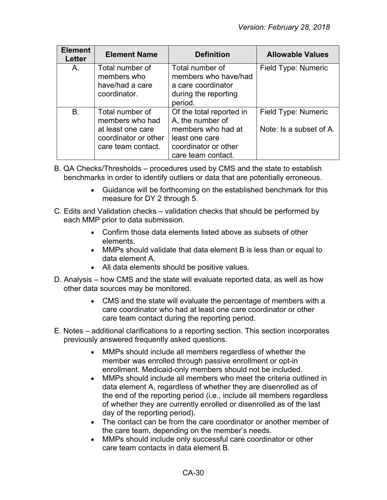| <b>Element</b><br><b>Letter</b> | <b>Element Name</b>                                                                                   | <b>Definition</b>                                                                                                                  | <b>Allowable Values</b>                        |
|---------------------------------|-------------------------------------------------------------------------------------------------------|------------------------------------------------------------------------------------------------------------------------------------|------------------------------------------------|
| A.                              | Total number of<br>members who<br>have/had a care<br>coordinator.                                     | Total number of<br>members who have/had<br>a care coordinator<br>during the reporting<br>period.                                   | Field Type: Numeric                            |
| <b>B.</b>                       | Total number of<br>members who had<br>at least one care<br>coordinator or other<br>care team contact. | Of the total reported in<br>A, the number of<br>members who had at<br>least one care<br>coordinator or other<br>care team contact. | Field Type: Numeric<br>Note: Is a subset of A. |

- B. QA Checks/Thresholds procedures used by CMS and the state to establish benchmarks in order to identify outliers or data that are potentially erroneous.
	- Guidance will be forthcoming on the established benchmark for this measure for DY 2 through 5.
- C. Edits and Validation checks validation checks that should be performed by each MMP prior to data submission.
	- Confirm those data elements listed above as subsets of other elements.
	- MMPs should validate that data element B is less than or equal to data element A.
	- All data elements should be positive values.
- D. Analysis how CMS and the state will evaluate reported data, as well as how other data sources may be monitored.
	- CMS and the state will evaluate the percentage of members with a care coordinator who had at least one care coordinator or other care team contact during the reporting period.
- E. Notes additional clarifications to a reporting section. This section incorporates previously answered frequently asked questions.
	- MMPs should include all members regardless of whether the member was enrolled through passive enrollment or opt-in enrollment. Medicaid-only members should not be included.
	- MMPs should include all members who meet the criteria outlined in data element A, regardless of whether they are disenrolled as of the end of the reporting period (i.e., include all members regardless of whether they are currently enrolled or disenrolled as of the last day of the reporting period).
	- The contact can be from the care coordinator or another member of the care team, depending on the member's needs.
	- MMPs should include only successful care coordinator or other care team contacts in data element B.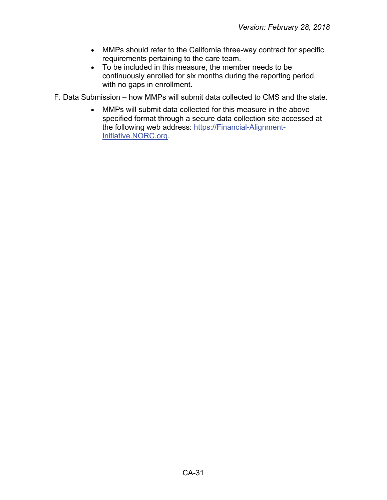- MMPs should refer to the California three-way contract for specific requirements pertaining to the care team.
- To be included in this measure, the member needs to be continuously enrolled for six months during the reporting period, with no gaps in enrollment.

F. Data Submission – how MMPs will submit data collected to CMS and the state.

• MMPs will submit data collected for this measure in the above specified format through a secure data collection site accessed at the following web address: [https://Financial-Alignment-](https://financial-alignment-initiative.norc.org/)[Initiative.NORC.org.](https://financial-alignment-initiative.norc.org/)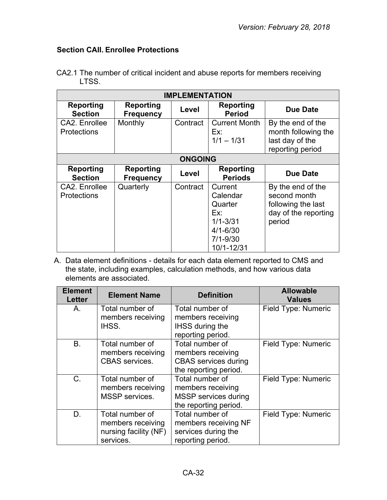## <span id="page-31-0"></span>**Section CAII. Enrollee Protections**

|       |  | CA2.1 The number of critical incident and abuse reports for members receiving |
|-------|--|-------------------------------------------------------------------------------|
| LTSS. |  |                                                                               |

| <b>IMPLEMENTATION</b>               |                                      |                |                                                                                                     |                                                                                           |  |
|-------------------------------------|--------------------------------------|----------------|-----------------------------------------------------------------------------------------------------|-------------------------------------------------------------------------------------------|--|
| Reporting<br><b>Section</b>         | Reporting<br><b>Frequency</b>        | Level          | Reporting<br><b>Period</b>                                                                          | <b>Due Date</b>                                                                           |  |
| CA2. Enrollee<br><b>Protections</b> | Monthly                              | Contract       | <b>Current Month</b><br>Ex:<br>$1/1 - 1/31$                                                         | By the end of the<br>month following the<br>last day of the<br>reporting period           |  |
|                                     |                                      | <b>ONGOING</b> |                                                                                                     |                                                                                           |  |
| <b>Reporting</b><br><b>Section</b>  | <b>Reporting</b><br><b>Frequency</b> | Level          | <b>Reporting</b><br><b>Periods</b>                                                                  | <b>Due Date</b>                                                                           |  |
| CA2. Enrollee<br><b>Protections</b> | Quarterly                            | Contract       | Current<br>Calendar<br>Quarter<br>Ex:<br>$1/1 - 3/31$<br>$4/1 - 6/30$<br>$7/1 - 9/30$<br>10/1-12/31 | By the end of the<br>second month<br>following the last<br>day of the reporting<br>period |  |

| <b>Element</b><br><b>Letter</b> | <b>Element Name</b>                                                        | <b>Definition</b>                                                                            | <b>Allowable</b><br><b>Values</b> |
|---------------------------------|----------------------------------------------------------------------------|----------------------------------------------------------------------------------------------|-----------------------------------|
| A.                              | Total number of<br>members receiving<br>IHSS.                              | Total number of<br>members receiving<br><b>IHSS during the</b>                               | Field Type: Numeric               |
|                                 |                                                                            | reporting period.                                                                            |                                   |
| B <sub>1</sub>                  | Total number of<br>members receiving<br><b>CBAS</b> services.              | Total number of<br>members receiving<br><b>CBAS</b> services during<br>the reporting period. | Field Type: Numeric               |
| $C_{\cdot}$                     | Total number of<br>members receiving<br>MSSP services.                     | Total number of<br>members receiving<br><b>MSSP</b> services during<br>the reporting period. | Field Type: Numeric               |
| D.                              | Total number of<br>members receiving<br>nursing facility (NF)<br>services. | Total number of<br>members receiving NF<br>services during the<br>reporting period.          | Field Type: Numeric               |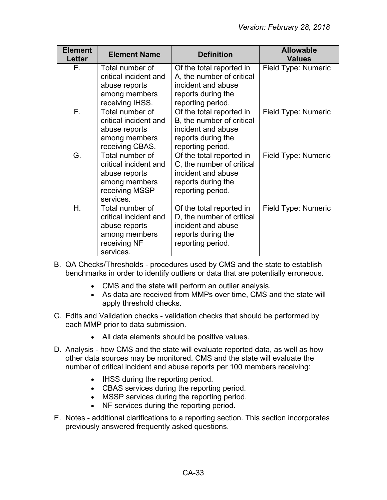| <b>Element</b><br><b>Letter</b> | <b>Element Name</b>                | <b>Definition</b>                             | <b>Allowable</b><br><b>Values</b> |
|---------------------------------|------------------------------------|-----------------------------------------------|-----------------------------------|
| Е.                              | Total number of                    | Of the total reported in                      | Field Type: Numeric               |
|                                 | critical incident and              | A, the number of critical                     |                                   |
|                                 | abuse reports                      | incident and abuse                            |                                   |
|                                 | among members                      | reports during the                            |                                   |
| $F_{\rm{H}}$                    | receiving IHSS.<br>Total number of | reporting period.<br>Of the total reported in | Field Type: Numeric               |
|                                 | critical incident and              | B, the number of critical                     |                                   |
|                                 | abuse reports                      | incident and abuse                            |                                   |
|                                 | among members                      | reports during the                            |                                   |
|                                 | receiving CBAS.                    | reporting period.                             |                                   |
| G.                              | Total number of                    | Of the total reported in                      | Field Type: Numeric               |
|                                 | critical incident and              | C, the number of critical                     |                                   |
|                                 | abuse reports                      | incident and abuse                            |                                   |
|                                 | among members                      | reports during the                            |                                   |
|                                 | receiving MSSP                     | reporting period.                             |                                   |
|                                 | services.                          |                                               |                                   |
| Η.                              | Total number of                    | Of the total reported in                      | Field Type: Numeric               |
|                                 | critical incident and              | D, the number of critical                     |                                   |
|                                 | abuse reports                      | incident and abuse                            |                                   |
|                                 | among members                      | reports during the                            |                                   |
|                                 | receiving NF                       | reporting period.                             |                                   |
|                                 | services.                          |                                               |                                   |

B. QA Checks/Thresholds - procedures used by CMS and the state to establish benchmarks in order to identify outliers or data that are potentially erroneous.

- CMS and the state will perform an outlier analysis.
- As data are received from MMPs over time, CMS and the state will apply threshold checks.
- C. Edits and Validation checks validation checks that should be performed by each MMP prior to data submission.
	- All data elements should be positive values.
- D. Analysis how CMS and the state will evaluate reported data, as well as how other data sources may be monitored. CMS and the state will evaluate the number of critical incident and abuse reports per 100 members receiving:
	- IHSS during the reporting period.
	- CBAS services during the reporting period.
	- MSSP services during the reporting period.
	- NF services during the reporting period.
- E. Notes additional clarifications to a reporting section. This section incorporates previously answered frequently asked questions.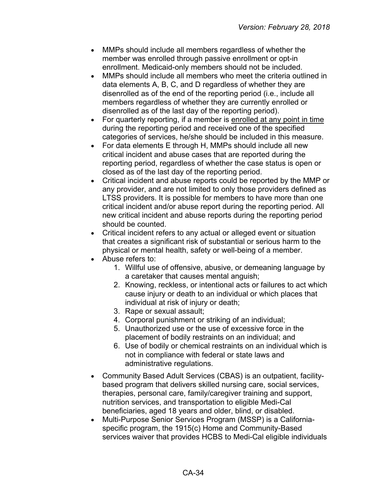- MMPs should include all members regardless of whether the member was enrolled through passive enrollment or opt-in enrollment. Medicaid-only members should not be included.
- MMPs should include all members who meet the criteria outlined in data elements A, B, C, and D regardless of whether they are disenrolled as of the end of the reporting period (i.e., include all members regardless of whether they are currently enrolled or disenrolled as of the last day of the reporting period).
- For quarterly reporting, if a member is enrolled at any point in time during the reporting period and received one of the specified categories of services, he/she should be included in this measure.
- For data elements E through H, MMPs should include all new critical incident and abuse cases that are reported during the reporting period, regardless of whether the case status is open or closed as of the last day of the reporting period.
- Critical incident and abuse reports could be reported by the MMP or any provider, and are not limited to only those providers defined as LTSS providers. It is possible for members to have more than one critical incident and/or abuse report during the reporting period. All new critical incident and abuse reports during the reporting period should be counted.
- Critical incident refers to any actual or alleged event or situation that creates a significant risk of substantial or serious harm to the physical or mental health, safety or well-being of a member.
- Abuse refers to:
	- 1. Willful use of offensive, abusive, or demeaning language by a caretaker that causes mental anguish;
	- 2. Knowing, reckless, or intentional acts or failures to act which cause injury or death to an individual or which places that individual at risk of injury or death;
	- 3. Rape or sexual assault;
	- 4. Corporal punishment or striking of an individual;
	- 5. Unauthorized use or the use of excessive force in the placement of bodily restraints on an individual; and
	- 6. Use of bodily or chemical restraints on an individual which is not in compliance with federal or state laws and administrative regulations.
- Community Based Adult Services (CBAS) is an outpatient, facilitybased program that delivers skilled nursing care, social services, therapies, personal care, family/caregiver training and support, nutrition services, and transportation to eligible Medi-Cal beneficiaries, aged 18 years and older, blind, or disabled.
- Multi-Purpose Senior Services Program (MSSP) is a Californiaspecific program, the 1915(c) Home and Community-Based services waiver that provides HCBS to Medi-Cal eligible individuals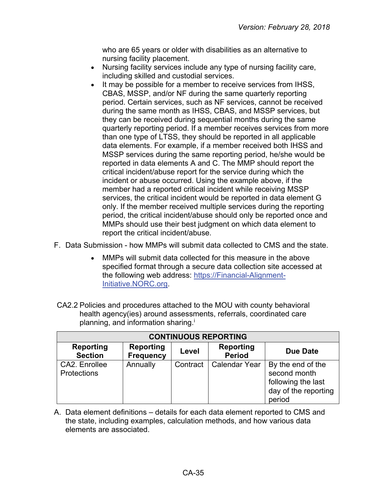who are 65 years or older with disabilities as an alternative to nursing facility placement.

- Nursing facility services include any type of nursing facility care, including skilled and custodial services.
- It may be possible for a member to receive services from IHSS, CBAS, MSSP, and/or NF during the same quarterly reporting period. Certain services, such as NF services, cannot be received during the same month as IHSS, CBAS, and MSSP services, but they can be received during sequential months during the same quarterly reporting period. If a member receives services from more than one type of LTSS, they should be reported in all applicable data elements. For example, if a member received both IHSS and MSSP services during the same reporting period, he/she would be reported in data elements A and C. The MMP should report the critical incident/abuse report for the service during which the incident or abuse occurred. Using the example above, if the member had a reported critical incident while receiving MSSP services, the critical incident would be reported in data element G only. If the member received multiple services during the reporting period, the critical incident/abuse should only be reported once and MMPs should use their best judgment on which data element to report the critical incident/abuse.
- F. Data Submission how MMPs will submit data collected to CMS and the state.
	- MMPs will submit data collected for this measure in the above specified format through a secure data collection site accessed at the following web address: [https://Financial-Alignment-](https://financial-alignment-initiative.norc.org/)[Initiative.NORC.org.](https://financial-alignment-initiative.norc.org/)
- CA2.2 Policies and procedures attached to the MOU with county behavioral health agency(ies) around assessments, referrals, coordinated care planning, and information sharing.<sup>i</sup>

| <b>CONTINUOUS REPORTING</b>         |                                      |          |                            |                                                                                           |  |
|-------------------------------------|--------------------------------------|----------|----------------------------|-------------------------------------------------------------------------------------------|--|
| <b>Reporting</b><br><b>Section</b>  | <b>Reporting</b><br><b>Frequency</b> | Level    | Reporting<br><b>Period</b> | Due Date                                                                                  |  |
| CA2. Enrollee<br><b>Protections</b> | Annually                             | Contract | <b>Calendar Year</b>       | By the end of the<br>second month<br>following the last<br>day of the reporting<br>period |  |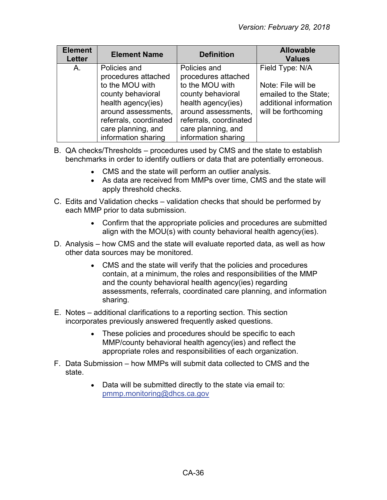| <b>Element</b><br><b>Letter</b> | <b>Element Name</b>                                                                                                                                                                             | <b>Definition</b>                                                                                                                                                                               | <b>Allowable</b><br><b>Values</b>                                                                               |
|---------------------------------|-------------------------------------------------------------------------------------------------------------------------------------------------------------------------------------------------|-------------------------------------------------------------------------------------------------------------------------------------------------------------------------------------------------|-----------------------------------------------------------------------------------------------------------------|
| А.                              | Policies and<br>procedures attached<br>to the MOU with<br>county behavioral<br>health agency(ies)<br>around assessments,<br>referrals, coordinated<br>care planning, and<br>information sharing | Policies and<br>procedures attached<br>to the MOU with<br>county behavioral<br>health agency(ies)<br>around assessments,<br>referrals, coordinated<br>care planning, and<br>information sharing | Field Type: N/A<br>Note: File will be<br>emailed to the State;<br>additional information<br>will be forthcoming |

- B. QA checks/Thresholds procedures used by CMS and the state to establish benchmarks in order to identify outliers or data that are potentially erroneous.
	- CMS and the state will perform an outlier analysis.
	- As data are received from MMPs over time, CMS and the state will apply threshold checks.
- C. Edits and Validation checks validation checks that should be performed by each MMP prior to data submission.
	- Confirm that the appropriate policies and procedures are submitted align with the MOU(s) with county behavioral health agency(ies).
- D. Analysis how CMS and the state will evaluate reported data, as well as how other data sources may be monitored.
	- CMS and the state will verify that the policies and procedures contain, at a minimum, the roles and responsibilities of the MMP and the county behavioral health agency(ies) regarding assessments, referrals, coordinated care planning, and information sharing.
- E. Notes additional clarifications to a reporting section. This section incorporates previously answered frequently asked questions.
	- These policies and procedures should be specific to each MMP/county behavioral health agency(ies) and reflect the appropriate roles and responsibilities of each organization.
- F. Data Submission how MMPs will submit data collected to CMS and the state.
	- Data will be submitted directly to the state via email to: [pmmp.monitoring@dhcs.ca.gov](mailto:pmmp.monitoring@dhcs.ca.gov)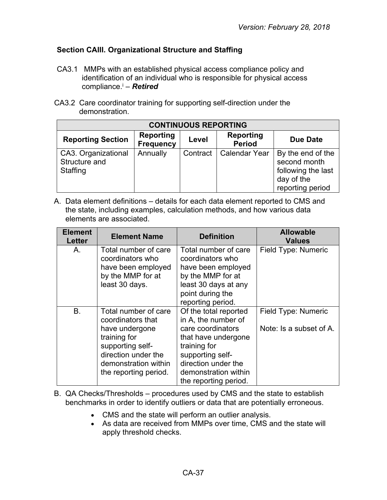#### <span id="page-36-0"></span>**Section CAIII. Organizational Structure and Staffing**

- CA3.1 MMPs with an established physical access compliance policy and identification of an individual who is responsible for physical access compliance.i – *Retired*
- CA3.2 Care coordinator training for supporting self-direction under the demonstration.

| <b>CONTINUOUS REPORTING</b>                      |                                      |          |                                   |                                                                                           |  |
|--------------------------------------------------|--------------------------------------|----------|-----------------------------------|-------------------------------------------------------------------------------------------|--|
| <b>Reporting Section</b>                         | <b>Reporting</b><br><b>Frequency</b> | Level    | <b>Reporting</b><br><b>Period</b> | <b>Due Date</b>                                                                           |  |
| CA3. Organizational<br>Structure and<br>Staffing | Annually                             | Contract | <b>Calendar Year</b>              | By the end of the<br>second month<br>following the last<br>day of the<br>reporting period |  |

| <b>Element</b><br><b>Letter</b> | <b>Element Name</b>                                                                                                                                                     | <b>Definition</b>                                                                                                                                                                                    | <b>Allowable</b><br><b>Values</b>              |
|---------------------------------|-------------------------------------------------------------------------------------------------------------------------------------------------------------------------|------------------------------------------------------------------------------------------------------------------------------------------------------------------------------------------------------|------------------------------------------------|
| Α.                              | Total number of care<br>coordinators who<br>have been employed<br>by the MMP for at<br>least 30 days.                                                                   | Total number of care<br>coordinators who<br>have been employed<br>by the MMP for at<br>least 30 days at any<br>point during the<br>reporting period.                                                 | Field Type: Numeric                            |
| В.                              | Total number of care<br>coordinators that<br>have undergone<br>training for<br>supporting self-<br>direction under the<br>demonstration within<br>the reporting period. | Of the total reported<br>in A, the number of<br>care coordinators<br>that have undergone<br>training for<br>supporting self-<br>direction under the<br>demonstration within<br>the reporting period. | Field Type: Numeric<br>Note: Is a subset of A. |

- B. QA Checks/Thresholds procedures used by CMS and the state to establish benchmarks in order to identify outliers or data that are potentially erroneous.
	- CMS and the state will perform an outlier analysis.
	- As data are received from MMPs over time, CMS and the state will apply threshold checks.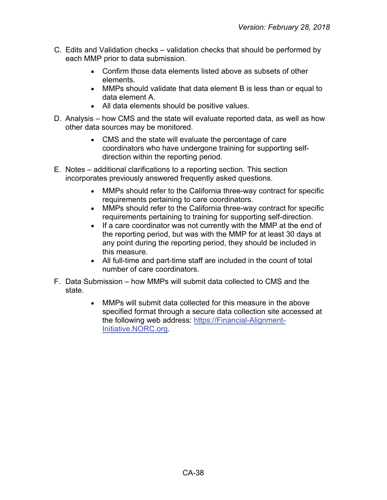- C. Edits and Validation checks validation checks that should be performed by each MMP prior to data submission.
	- Confirm those data elements listed above as subsets of other elements.
	- MMPs should validate that data element B is less than or equal to data element A.
	- All data elements should be positive values.
- D. Analysis how CMS and the state will evaluate reported data, as well as how other data sources may be monitored.
	- CMS and the state will evaluate the percentage of care coordinators who have undergone training for supporting selfdirection within the reporting period.
- E. Notes additional clarifications to a reporting section. This section incorporates previously answered frequently asked questions.
	- MMPs should refer to the California three-way contract for specific requirements pertaining to care coordinators.
	- MMPs should refer to the California three-way contract for specific requirements pertaining to training for supporting self-direction.
	- If a care coordinator was not currently with the MMP at the end of the reporting period, but was with the MMP for at least 30 days at any point during the reporting period, they should be included in this measure.
	- All full-time and part-time staff are included in the count of total number of care coordinators.
- F. Data Submission how MMPs will submit data collected to CMS and the state.
	- MMPs will submit data collected for this measure in the above specified format through a secure data collection site accessed at the following web address: [https://Financial-Alignment-](https://financial-alignment-initiative.norc.org/)[Initiative.NORC.org.](https://financial-alignment-initiative.norc.org/)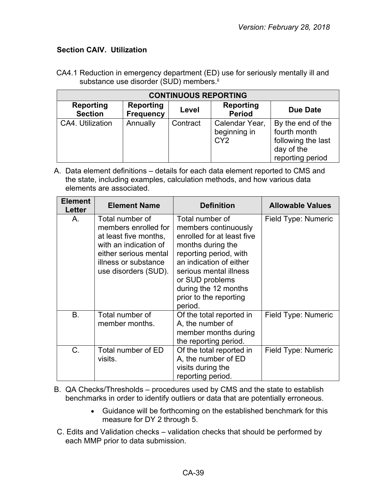#### <span id="page-38-0"></span>**Section CAIV. Utilization**

| <b>CONTINUOUS REPORTING</b>        |                                      |          |                                                   |                                                                                           |  |  |
|------------------------------------|--------------------------------------|----------|---------------------------------------------------|-------------------------------------------------------------------------------------------|--|--|
| <b>Reporting</b><br><b>Section</b> | <b>Reporting</b><br><b>Frequency</b> | Level    | <b>Reporting</b><br><b>Period</b>                 | Due Date                                                                                  |  |  |
| CA4. Utilization                   | Annually                             | Contract | Calendar Year,<br>beginning in<br>CY <sub>2</sub> | By the end of the<br>fourth month<br>following the last<br>day of the<br>reporting period |  |  |

CA4.1 Reduction in emergency department (ED) use for seriously mentally ill and substance use disorder (SUD) members.<sup>ii</sup>

A. Data element definitions – details for each data element reported to CMS and the state, including examples, calculation methods, and how various data elements are associated.

| <b>Element</b><br>Letter | <b>Element Name</b>                                                                                                                                                | <b>Definition</b>                                                                                                                                                                                                                                         | <b>Allowable Values</b> |
|--------------------------|--------------------------------------------------------------------------------------------------------------------------------------------------------------------|-----------------------------------------------------------------------------------------------------------------------------------------------------------------------------------------------------------------------------------------------------------|-------------------------|
| Α.                       | Total number of<br>members enrolled for<br>at least five months,<br>with an indication of<br>either serious mental<br>illness or substance<br>use disorders (SUD). | Total number of<br>members continuously<br>enrolled for at least five<br>months during the<br>reporting period, with<br>an indication of either<br>serious mental illness<br>or SUD problems<br>during the 12 months<br>prior to the reporting<br>period. | Field Type: Numeric     |
| B.                       | Total number of<br>member months.                                                                                                                                  | Of the total reported in<br>A, the number of<br>member months during<br>the reporting period.                                                                                                                                                             | Field Type: Numeric     |
| C.                       | Total number of ED<br>visits.                                                                                                                                      | Of the total reported in<br>A, the number of ED<br>visits during the<br>reporting period.                                                                                                                                                                 | Field Type: Numeric     |

B. QA Checks/Thresholds – procedures used by CMS and the state to establish benchmarks in order to identify outliers or data that are potentially erroneous.

- Guidance will be forthcoming on the established benchmark for this measure for DY 2 through 5.
- C. Edits and Validation checks validation checks that should be performed by each MMP prior to data submission.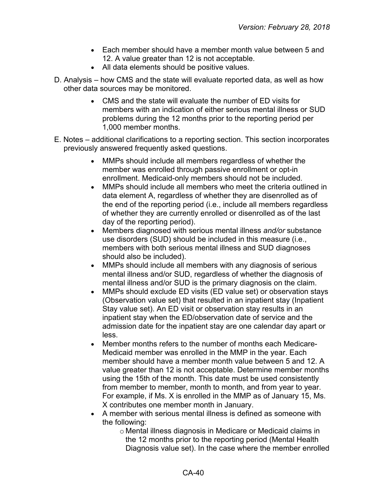- Each member should have a member month value between 5 and 12. A value greater than 12 is not acceptable.
- All data elements should be positive values.
- D. Analysis how CMS and the state will evaluate reported data, as well as how other data sources may be monitored.
	- CMS and the state will evaluate the number of ED visits for members with an indication of either serious mental illness or SUD problems during the 12 months prior to the reporting period per 1,000 member months.
- E. Notes additional clarifications to a reporting section. This section incorporates previously answered frequently asked questions.
	- MMPs should include all members regardless of whether the member was enrolled through passive enrollment or opt-in enrollment. Medicaid-only members should not be included.
	- MMPs should include all members who meet the criteria outlined in data element A, regardless of whether they are disenrolled as of the end of the reporting period (i.e., include all members regardless of whether they are currently enrolled or disenrolled as of the last day of the reporting period).
	- Members diagnosed with serious mental illness *and/or* substance use disorders (SUD) should be included in this measure (i.e., members with both serious mental illness and SUD diagnoses should also be included).
	- MMPs should include all members with any diagnosis of serious mental illness and/or SUD, regardless of whether the diagnosis of mental illness and/or SUD is the primary diagnosis on the claim.
	- MMPs should exclude ED visits (ED value set) or observation stays (Observation value set) that resulted in an inpatient stay (Inpatient Stay value set). An ED visit or observation stay results in an inpatient stay when the ED/observation date of service and the admission date for the inpatient stay are one calendar day apart or less.
	- Member months refers to the number of months each Medicare-Medicaid member was enrolled in the MMP in the year. Each member should have a member month value between 5 and 12. A value greater than 12 is not acceptable. Determine member months using the 15th of the month. This date must be used consistently from member to member, month to month, and from year to year. For example, if Ms. X is enrolled in the MMP as of January 15, Ms. X contributes one member month in January.
	- A member with serious mental illness is defined as someone with the following:
		- o Mental illness diagnosis in Medicare or Medicaid claims in the 12 months prior to the reporting period (Mental Health Diagnosis value set). In the case where the member enrolled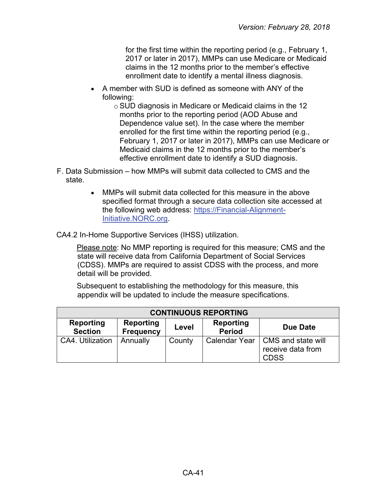for the first time within the reporting period (e.g., February 1, 2017 or later in 2017), MMPs can use Medicare or Medicaid claims in the 12 months prior to the member's effective enrollment date to identify a mental illness diagnosis.

• A member with SUD is defined as someone with ANY of the following:

> o SUD diagnosis in Medicare or Medicaid claims in the 12 months prior to the reporting period (AOD Abuse and Dependence value set). In the case where the member enrolled for the first time within the reporting period (e.g., February 1, 2017 or later in 2017), MMPs can use Medicare or Medicaid claims in the 12 months prior to the member's effective enrollment date to identify a SUD diagnosis.

- F. Data Submission how MMPs will submit data collected to CMS and the state.
	- MMPs will submit data collected for this measure in the above specified format through a secure data collection site accessed at the following web address: [https://Financial-Alignment-](https://financial-alignment-initiative.norc.org/)[Initiative.NORC.org.](https://financial-alignment-initiative.norc.org/)

CA4.2 In-Home Supportive Services (IHSS) utilization.

Please note: No MMP reporting is required for this measure; CMS and the state will receive data from California Department of Social Services (CDSS). MMPs are required to assist CDSS with the process, and more detail will be provided.

Subsequent to establishing the methodology for this measure, this appendix will be updated to include the measure specifications.

| <b>CONTINUOUS REPORTING</b>        |                               |        |                            |                                                        |  |
|------------------------------------|-------------------------------|--------|----------------------------|--------------------------------------------------------|--|
| <b>Reporting</b><br><b>Section</b> | Reporting<br><b>Frequency</b> | Level  | Reporting<br><b>Period</b> | Due Date                                               |  |
| CA4. Utilization                   | Annually                      | County | Calendar Year              | CMS and state will<br>receive data from<br><b>CDSS</b> |  |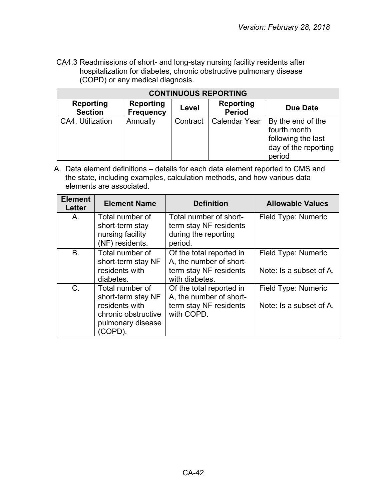CA4.3 Readmissions of short- and long-stay nursing facility residents after hospitalization for diabetes, chronic obstructive pulmonary disease (COPD) or any medical diagnosis.

| <b>CONTINUOUS REPORTING</b>        |                                      |          |                                   |                                                                                           |  |
|------------------------------------|--------------------------------------|----------|-----------------------------------|-------------------------------------------------------------------------------------------|--|
| <b>Reporting</b><br><b>Section</b> | <b>Reporting</b><br><b>Frequency</b> | Level    | <b>Reporting</b><br><b>Period</b> | <b>Due Date</b>                                                                           |  |
| CA4. Utilization                   | Annually                             | Contract | <b>Calendar Year</b>              | By the end of the<br>fourth month<br>following the last<br>day of the reporting<br>period |  |

| <b>Element</b><br><b>Letter</b> | <b>Element Name</b>                                                                                           | <b>Definition</b>                                                                               | <b>Allowable Values</b>                        |
|---------------------------------|---------------------------------------------------------------------------------------------------------------|-------------------------------------------------------------------------------------------------|------------------------------------------------|
| A.                              | Total number of<br>short-term stay<br>nursing facility<br>(NF) residents.                                     | Total number of short-<br>term stay NF residents<br>during the reporting<br>period.             | Field Type: Numeric                            |
| B.                              | Total number of<br>short-term stay NF<br>residents with<br>diabetes.                                          | Of the total reported in<br>A, the number of short-<br>term stay NF residents<br>with diabetes. | Field Type: Numeric<br>Note: Is a subset of A. |
| $C$ .                           | Total number of<br>short-term stay NF<br>residents with<br>chronic obstructive<br>pulmonary disease<br>COPD). | Of the total reported in<br>A, the number of short-<br>term stay NF residents<br>with COPD.     | Field Type: Numeric<br>Note: Is a subset of A. |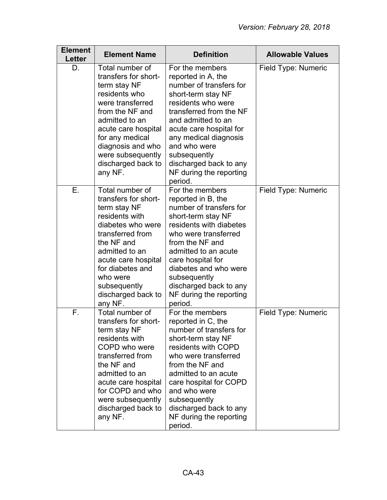| <b>Element</b><br>Letter | <b>Element Name</b>                                                                                                                                                                                                                                        | <b>Definition</b>                                                                                                                                                                                                                                                                                                  | <b>Allowable Values</b> |
|--------------------------|------------------------------------------------------------------------------------------------------------------------------------------------------------------------------------------------------------------------------------------------------------|--------------------------------------------------------------------------------------------------------------------------------------------------------------------------------------------------------------------------------------------------------------------------------------------------------------------|-------------------------|
| D.                       | Total number of<br>transfers for short-<br>term stay NF<br>residents who<br>were transferred<br>from the NF and<br>admitted to an<br>acute care hospital<br>for any medical<br>diagnosis and who<br>were subsequently<br>discharged back to<br>any NF.     | For the members<br>reported in A, the<br>number of transfers for<br>short-term stay NF<br>residents who were<br>transferred from the NF<br>and admitted to an<br>acute care hospital for<br>any medical diagnosis<br>and who were<br>subsequently<br>discharged back to any<br>NF during the reporting<br>period.  | Field Type: Numeric     |
| Ε.                       | Total number of<br>transfers for short-<br>term stay NF<br>residents with<br>diabetes who were<br>transferred from<br>the NF and<br>admitted to an<br>acute care hospital<br>for diabetes and<br>who were<br>subsequently<br>discharged back to<br>any NF. | For the members<br>reported in B, the<br>number of transfers for<br>short-term stay NF<br>residents with diabetes<br>who were transferred<br>from the NF and<br>admitted to an acute<br>care hospital for<br>diabetes and who were<br>subsequently<br>discharged back to any<br>NF during the reporting<br>period. | Field Type: Numeric     |
| F.                       | Total number of<br>transfers for short-<br>term stay NF<br>residents with<br>COPD who were<br>transferred from<br>the NF and<br>admitted to an<br>acute care hospital<br>for COPD and who<br>were subsequently<br>discharged back to<br>any NF.            | For the members<br>reported in C, the<br>number of transfers for<br>short-term stay NF<br>residents with COPD<br>who were transferred<br>from the NF and<br>admitted to an acute<br>care hospital for COPD<br>and who were<br>subsequently<br>discharged back to any<br>NF during the reporting<br>period.         | Field Type: Numeric     |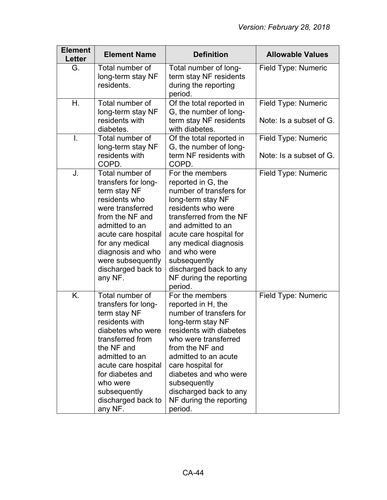| <b>Element</b><br>Letter | <b>Element Name</b>                                                                                                                                                                                                                                       | <b>Definition</b>                                                                                                                                                                                                                                                                                                 | <b>Allowable Values</b>                        |
|--------------------------|-----------------------------------------------------------------------------------------------------------------------------------------------------------------------------------------------------------------------------------------------------------|-------------------------------------------------------------------------------------------------------------------------------------------------------------------------------------------------------------------------------------------------------------------------------------------------------------------|------------------------------------------------|
| G.                       | Total number of<br>long-term stay NF<br>residents.                                                                                                                                                                                                        | Total number of long-<br>term stay NF residents<br>during the reporting<br>period.                                                                                                                                                                                                                                | Field Type: Numeric                            |
| Η.                       | Total number of<br>long-term stay NF<br>residents with<br>diabetes.                                                                                                                                                                                       | Of the total reported in<br>G, the number of long-<br>term stay NF residents<br>with diabetes.                                                                                                                                                                                                                    | Field Type: Numeric<br>Note: Is a subset of G. |
| $\mathbf{I}$ .           | Total number of<br>long-term stay NF<br>residents with<br>COPD.                                                                                                                                                                                           | Of the total reported in<br>G, the number of long-<br>term NF residents with<br>COPD.                                                                                                                                                                                                                             | Field Type: Numeric<br>Note: Is a subset of G. |
| J.                       | Total number of<br>transfers for long-<br>term stay NF<br>residents who<br>were transferred<br>from the NF and<br>admitted to an<br>acute care hospital<br>for any medical<br>diagnosis and who<br>were subsequently<br>discharged back to<br>any NF.     | For the members<br>reported in G, the<br>number of transfers for<br>long-term stay NF<br>residents who were<br>transferred from the NF<br>and admitted to an<br>acute care hospital for<br>any medical diagnosis<br>and who were<br>subsequently<br>discharged back to any<br>NF during the reporting<br>period.  | Field Type: Numeric                            |
| K.                       | Total number of<br>transfers for long-<br>term stay NF<br>residents with<br>diabetes who were<br>transferred from<br>the NF and<br>admitted to an<br>acute care hospital<br>for diabetes and<br>who were<br>subsequently<br>discharged back to<br>any NF. | For the members<br>reported in H, the<br>number of transfers for<br>long-term stay NF<br>residents with diabetes<br>who were transferred<br>from the NF and<br>admitted to an acute<br>care hospital for<br>diabetes and who were<br>subsequently<br>discharged back to any<br>NF during the reporting<br>period. | Field Type: Numeric                            |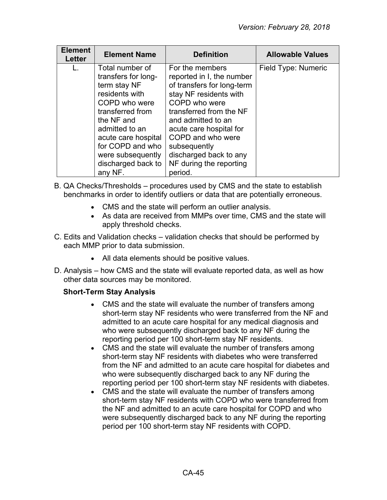| <b>Element</b><br><b>Letter</b> | <b>Element Name</b>                                                                                                                                                                                                                            | <b>Definition</b>                                                                                                                                                                                                                                                                                      | <b>Allowable Values</b> |
|---------------------------------|------------------------------------------------------------------------------------------------------------------------------------------------------------------------------------------------------------------------------------------------|--------------------------------------------------------------------------------------------------------------------------------------------------------------------------------------------------------------------------------------------------------------------------------------------------------|-------------------------|
| L.                              | Total number of<br>transfers for long-<br>term stay NF<br>residents with<br>COPD who were<br>transferred from<br>the NF and<br>admitted to an<br>acute care hospital<br>for COPD and who<br>were subsequently<br>discharged back to<br>any NF. | For the members<br>reported in I, the number<br>of transfers for long-term<br>stay NF residents with<br>COPD who were<br>transferred from the NF<br>and admitted to an<br>acute care hospital for<br>COPD and who were<br>subsequently<br>discharged back to any<br>NF during the reporting<br>period. | Field Type: Numeric     |

- B. QA Checks/Thresholds procedures used by CMS and the state to establish benchmarks in order to identify outliers or data that are potentially erroneous.
	- CMS and the state will perform an outlier analysis.
	- As data are received from MMPs over time, CMS and the state will apply threshold checks.
- C. Edits and Validation checks validation checks that should be performed by each MMP prior to data submission.
	- All data elements should be positive values.
- D. Analysis how CMS and the state will evaluate reported data, as well as how other data sources may be monitored.

## **Short-Term Stay Analysis**

- CMS and the state will evaluate the number of transfers among short-term stay NF residents who were transferred from the NF and admitted to an acute care hospital for any medical diagnosis and who were subsequently discharged back to any NF during the reporting period per 100 short-term stay NF residents.
- CMS and the state will evaluate the number of transfers among short-term stay NF residents with diabetes who were transferred from the NF and admitted to an acute care hospital for diabetes and who were subsequently discharged back to any NF during the reporting period per 100 short-term stay NF residents with diabetes.
- CMS and the state will evaluate the number of transfers among short-term stay NF residents with COPD who were transferred from the NF and admitted to an acute care hospital for COPD and who were subsequently discharged back to any NF during the reporting period per 100 short-term stay NF residents with COPD.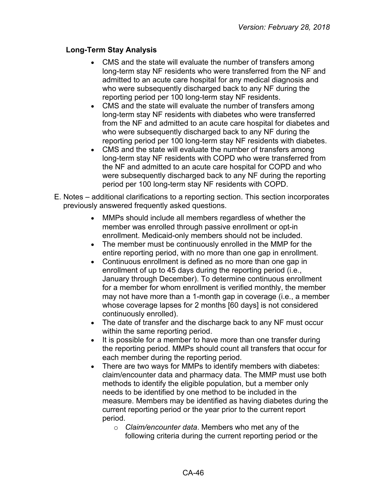#### **Long-Term Stay Analysis**

- CMS and the state will evaluate the number of transfers among long-term stay NF residents who were transferred from the NF and admitted to an acute care hospital for any medical diagnosis and who were subsequently discharged back to any NF during the reporting period per 100 long-term stay NF residents.
- CMS and the state will evaluate the number of transfers among long-term stay NF residents with diabetes who were transferred from the NF and admitted to an acute care hospital for diabetes and who were subsequently discharged back to any NF during the reporting period per 100 long-term stay NF residents with diabetes.
- CMS and the state will evaluate the number of transfers among long-term stay NF residents with COPD who were transferred from the NF and admitted to an acute care hospital for COPD and who were subsequently discharged back to any NF during the reporting period per 100 long-term stay NF residents with COPD.
- E. Notes additional clarifications to a reporting section. This section incorporates previously answered frequently asked questions.
	- MMPs should include all members regardless of whether the member was enrolled through passive enrollment or opt-in enrollment. Medicaid-only members should not be included.
	- The member must be continuously enrolled in the MMP for the entire reporting period, with no more than one gap in enrollment.
	- Continuous enrollment is defined as no more than one gap in enrollment of up to 45 days during the reporting period (i.e., January through December). To determine continuous enrollment for a member for whom enrollment is verified monthly, the member may not have more than a 1-month gap in coverage (i.e., a member whose coverage lapses for 2 months [60 days] is not considered continuously enrolled).
	- The date of transfer and the discharge back to any NF must occur within the same reporting period.
	- It is possible for a member to have more than one transfer during the reporting period. MMPs should count all transfers that occur for each member during the reporting period.
	- There are two ways for MMPs to identify members with diabetes: claim/encounter data and pharmacy data. The MMP must use both methods to identify the eligible population, but a member only needs to be identified by one method to be included in the measure. Members may be identified as having diabetes during the current reporting period or the year prior to the current report period.
		- o *Claim/encounter data*. Members who met any of the following criteria during the current reporting period or the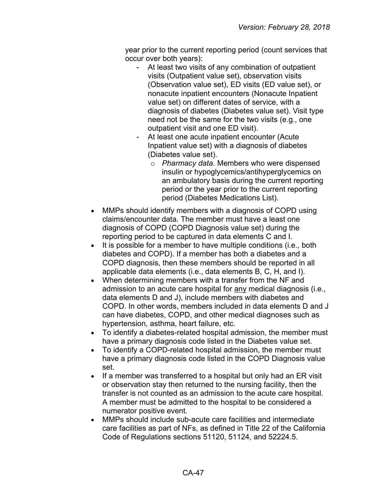year prior to the current reporting period (count services that occur over both years):

- At least two visits of any combination of outpatient visits (Outpatient value set), observation visits (Observation value set), ED visits (ED value set), or nonacute inpatient encounters (Nonacute Inpatient value set) on different dates of service, with a diagnosis of diabetes (Diabetes value set). Visit type need not be the same for the two visits (e.g., one outpatient visit and one ED visit).
- At least one acute inpatient encounter (Acute Inpatient value set) with a diagnosis of diabetes (Diabetes value set).
	- o *Pharmacy data*. Members who were dispensed insulin or hypoglycemics/antihyperglycemics on an ambulatory basis during the current reporting period or the year prior to the current reporting period (Diabetes Medications List).
- MMPs should identify members with a diagnosis of COPD using claims/encounter data. The member must have a least one diagnosis of COPD (COPD Diagnosis value set) during the reporting period to be captured in data elements C and I.
- It is possible for a member to have multiple conditions (i.e., both diabetes and COPD). If a member has both a diabetes and a COPD diagnosis, then these members should be reported in all applicable data elements (i.e., data elements B, C, H, and I).
- When determining members with a transfer from the NF and admission to an acute care hospital for any medical diagnosis (i.e., data elements D and J), include members with diabetes and COPD. In other words, members included in data elements D and J can have diabetes, COPD, and other medical diagnoses such as hypertension, asthma, heart failure, etc.
- To identify a diabetes-related hospital admission, the member must have a primary diagnosis code listed in the Diabetes value set.
- To identify a COPD-related hospital admission, the member must have a primary diagnosis code listed in the COPD Diagnosis value set.
- If a member was transferred to a hospital but only had an ER visit or observation stay then returned to the nursing facility, then the transfer is not counted as an admission to the acute care hospital. A member must be admitted to the hospital to be considered a numerator positive event.
- MMPs should include sub-acute care facilities and intermediate care facilities as part of NFs, as defined in Title 22 of the California Code of Regulations sections 51120, 51124, and 52224.5.